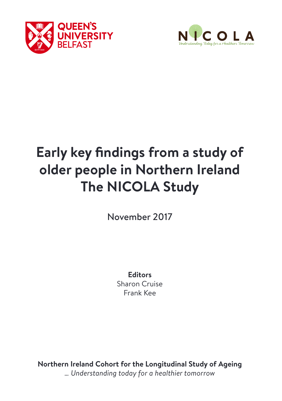



# **Early key findings from a study of older people in Northern Ireland The NICOLA Study**

November 2017

**Editors** Sharon Cruise Frank Kee

**Northern Ireland Cohort for the Longitudinal Study of Ageing** *… Understanding today for a healthier tomorrow*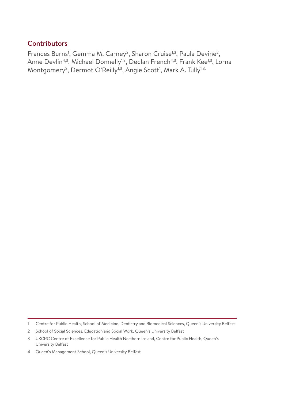### **Contributors**

Frances Burns<sup>1</sup>, Gemma M. Carney<sup>2</sup>, Sharon Cruise<sup>1,3</sup>, Paula Devine<sup>2</sup>, Anne Devlin<sup>4,3</sup>, Michael Donnelly<sup>1,3</sup>, Declan French<sup>4,3</sup>, Frank Kee<sup>1,3</sup>, Lorna Montgomery<sup>2</sup>, Dermot O'Reilly<sup>1,3</sup>, Angie Scott<sup>1</sup>, Mark A. Tully<sup>1,3.</sup>

<sup>1</sup> Centre for Public Health, School of Medicine, Dentistry and Biomedical Sciences, Queen's University Belfast

<sup>2</sup> School of Social Sciences, Education and Social Work, Queen's University Belfast

<sup>3</sup> UKCRC Centre of Excellence for Public Health Northern Ireland, Centre for Public Health, Queen's University Belfast

<sup>4</sup> Queen's Management School, Queen's University Belfast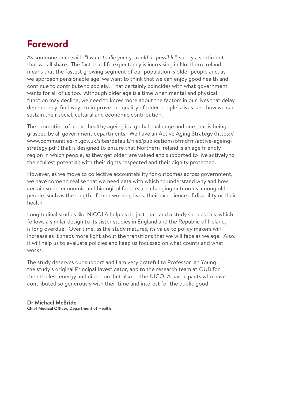# **Foreword**

As someone once said: *"I want to die young, as old as possible*", surely a sentiment that we all share. The fact that life expectancy is increasing in Northern Ireland means that the fastest growing segment of our population is older people and, as we approach pensionable age, we want to think that we can enjoy good health and continue to contribute to society. That certainly coincides with what government wants for all of us too. Although older age is a time when mental and physical function may decline, we need to know more about the factors in our lives that delay dependency, find ways to improve the quality of older people's lives, and how we can sustain their social, cultural and economic contribution.

The promotion of active healthy ageing is a global challenge and one that is being grasped by all government departments. We have an Active Aging Strategy (https:// www.communities-ni.gov.uk/sites/default/files/publications/ofmdfm/active-ageingstrategy.pdf) that is designed to ensure that Northern Ireland is an age friendly region in which people, as they get older, are valued and supported to live actively to their fullest potential; with their rights respected and their dignity protected.

However, as we move to collective accountability for outcomes across government, we have come to realise that we need data with which to understand why and how certain socio-economic and biological factors are changing outcomes among older people, such as the length of their working lives, their experience of disability or their health.

Longitudinal studies like NICOLA help us do just that, and a study such as this, which follows a similar design to its sister studies in England and the Republic of Ireland, is long overdue. Over time, as the study matures, its value to policy makers will increase as it sheds more light about the transitions that we will face as we age. Also, it will help us to evaluate policies and keep us focussed on what counts and what works.

The study deserves our support and I am very grateful to Professor Ian Young, the study's original Principal Investigator, and to the research team at QUB for their tireless energy and direction, but also to the NICOLA participants who have contributed so generously with their time and interest for the public good.

**Dr Michael McBride Chief Medical Officer, Department of Health**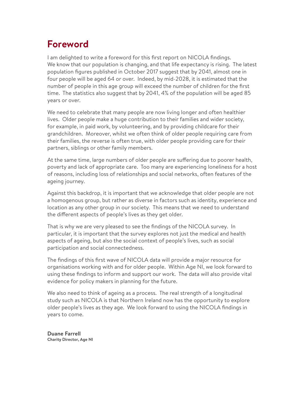# **Foreword**

I am delighted to write a foreword for this first report on NICOLA findings. We know that our population is changing, and that life expectancy is rising. The latest population figures published in October 2017 suggest that by 2041, almost one in four people will be aged 64 or over. Indeed, by mid-2028, it is estimated that the number of people in this age group will exceed the number of children for the first time. The statistics also suggest that by 2041, 4% of the population will be aged 85 years or over.

We need to celebrate that many people are now living longer and often healthier lives. Older people make a huge contribution to their families and wider society, for example, in paid work, by volunteering, and by providing childcare for their grandchildren. Moreover, whilst we often think of older people requiring care from their families, the reverse is often true, with older people providing care for their partners, siblings or other family members.

At the same time, large numbers of older people are suffering due to poorer health, poverty and lack of appropriate care. Too many are experiencing loneliness for a host of reasons, including loss of relationships and social networks, often features of the ageing journey.

Against this backdrop, it is important that we acknowledge that older people are not a homogenous group, but rather as diverse in factors such as identity, experience and location as any other group in our society. This means that we need to understand the different aspects of people's lives as they get older.

That is why we are very pleased to see the findings of the NICOLA survey. In particular, it is important that the survey explores not just the medical and health aspects of ageing, but also the social context of people's lives, such as social participation and social connectedness.

The findings of this first wave of NICOLA data will provide a major resource for organisations working with and for older people. Within Age NI, we look forward to using these findings to inform and support our work. The data will also provide vital evidence for policy makers in planning for the future.

We also need to think of ageing as a process. The real strength of a longitudinal study such as NICOLA is that Northern Ireland now has the opportunity to explore older people's lives as they age. We look forward to using the NICOLA findings in years to come.

**Duane Farrell Charity Director, Age NI**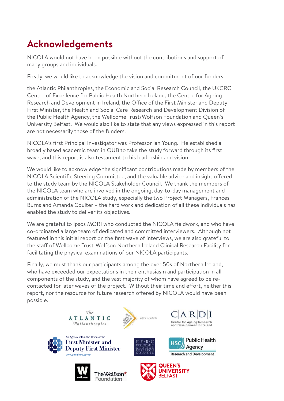# **Acknowledgements**

NICOLA would not have been possible without the contributions and support of many groups and individuals.

Firstly, we would like to acknowledge the vision and commitment of our funders:

the Atlantic Philanthropies, the Economic and Social Research Council, the UKCRC Centre of Excellence for Public Health Northern Ireland, the Centre for Ageing Research and Development in Ireland, the Office of the First Minister and Deputy First Minister, the Health and Social Care Research and Development Division of the Public Health Agency, the Wellcome Trust/Wolfson Foundation and Queen's University Belfast. We would also like to state that any views expressed in this report are not necessarily those of the funders.

NICOLA's first Principal Investigator was Professor Ian Young. He established a broadly based academic team in QUB to take the study forward through its first wave, and this report is also testament to his leadership and vision.

We would like to acknowledge the significant contributions made by members of the NICOLA Scientific Steering Committee, and the valuable advice and insight offered to the study team by the NICOLA Stakeholder Council. We thank the members of the NICOLA team who are involved in the ongoing, day-to-day management and administration of the NICOLA study, especially the two Project Managers, Frances Burns and Amanda Coulter – the hard work and dedication of all these individuals has enabled the study to deliver its objectives.

We are grateful to Ipsos MORI who conducted the NICOLA fieldwork, and who have co-ordinated a large team of dedicated and committed interviewers. Although not featured in this initial report on the first wave of interviews, we are also grateful to the staff of Wellcome Trust-Wolfson Northern Ireland Clinical Research Facility for facilitating the physical examinations of our NICOLA participants.

Finally, we must thank our participants among the over 50s of Northern Ireland, who have exceeded our expectations in their enthusiasm and participation in all components of the study, and the vast majority of whom have agreed to be recontacted for later waves of the project. Without their time and effort, neither this report, nor the resource for future research offered by NICOLA would have been possible.













Centre for Ageing Research

and Development in Ireland

Agency

**Public Health**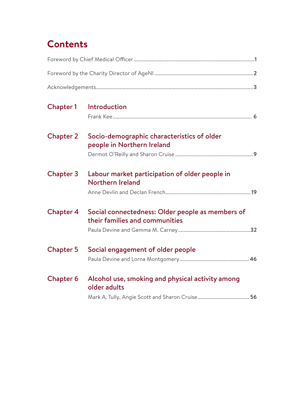# **Contents**

| Chapter 1        | Introduction                                                                       |  |  |  |  |  |
|------------------|------------------------------------------------------------------------------------|--|--|--|--|--|
| <b>Chapter 2</b> | Socio-demographic characteristics of older<br>people in Northern Ireland           |  |  |  |  |  |
|                  |                                                                                    |  |  |  |  |  |
| Chapter 3        | Labour market participation of older people in<br>Northern Ireland                 |  |  |  |  |  |
|                  |                                                                                    |  |  |  |  |  |
| <b>Chapter 4</b> | Social connectedness: Older people as members of<br>their families and communities |  |  |  |  |  |
|                  |                                                                                    |  |  |  |  |  |
| <b>Chapter 5</b> | Social engagement of older people                                                  |  |  |  |  |  |
| Chapter 6        | Alcohol use, smoking and physical activity among<br>older adults                   |  |  |  |  |  |
|                  |                                                                                    |  |  |  |  |  |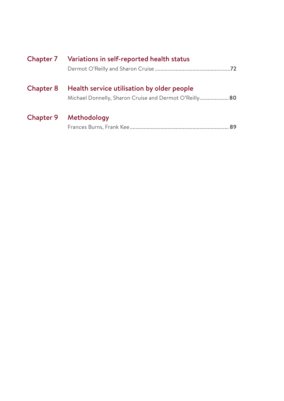|                  | Chapter 7 Variations in self-reported health status                                                  |
|------------------|------------------------------------------------------------------------------------------------------|
| <b>Chapter 8</b> | Health service utilisation by older people<br>Michael Donnelly, Sharon Cruise and Dermot O'Reilly 80 |
| Chapter 9        | Methodology                                                                                          |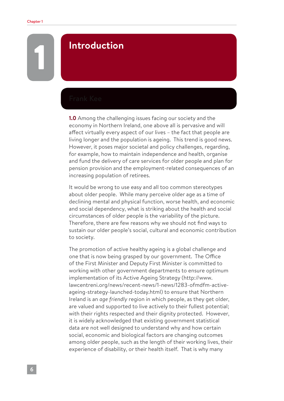## 1 **Introduction**

**1.0** Among the challenging issues facing our society and the economy in Northern Ireland, one above all is pervasive and will affect virtually every aspect of our lives – the fact that people are living longer and the population is ageing. This trend is good news. However, it poses major societal and policy challenges, regarding, for example, how to maintain independence and health, organise and fund the delivery of care services for older people and plan for pension provision and the employment-related consequences of an increasing population of retirees.

It would be wrong to use easy and all too common stereotypes about older people. While many perceive older age as a time of declining mental and physical function, worse health, and economic and social dependency, what is striking about the health and social circumstances of older people is the variability of the picture. Therefore, there are few reasons why we should not find ways to sustain our older people's social, cultural and economic contribution to society.

The promotion of active healthy ageing is a global challenge and one that is now being grasped by our government. The Office of the First Minister and Deputy First Minister is committed to working with other government departments to ensure optimum implementation of its Active Ageing Strategy (http://www. lawcentreni.org/news/recent-news/1-news/1283-ofmdfm-activeageing-strategy-launched-today.html) to ensure that Northern Ireland is an *age friendly* region in which people, as they get older, are valued and supported to live actively to their fullest potential; with their rights respected and their dignity protected. However, it is widely acknowledged that existing government statistical data are not well designed to understand why and how certain social, economic and biological factors are changing outcomes among older people, such as the length of their working lives, their experience of disability, or their health itself. That is why many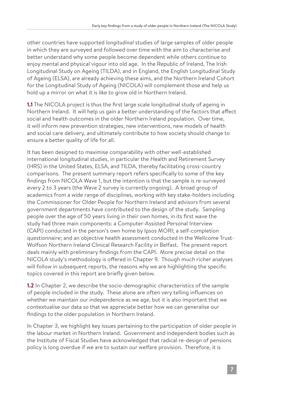other countries have supported *longitudinal* studies of large samples of older people in which they are surveyed and followed over time with the aim to characterise and better understand why some people become dependent while others continue to enjoy mental and physical vigour into old age. In the Republic of Ireland, The Irish Longitudinal Study on Ageing (TILDA), and in England, the English Longitudinal Study of Ageing (ELSA), are already achieving these aims, and the Northern Ireland Cohort for the Longitudinal Study of Ageing (NICOLA) will complement those and help us hold up a mirror on what it is like to grow old in Northern Ireland.

**1.1** The NICOLA project is thus the first large scale longitudinal study of ageing in Northern Ireland. It will help us gain a better understanding of the factors that affect social and health outcomes in the older Northern Ireland population. Over time, it will inform new prevention strategies, new interventions, new models of health and social care delivery, and ultimately contribute to how society should change to ensure a better quality of life for all.

It has been designed to maximise comparability with other well-established international longitudinal studies, in particular the Health and Retirement Survey (HRS) in the United States, ELSA, and TILDA, thereby facilitating cross-country comparisons. The present summary report refers specifically to some of the key findings from NICOLA Wave 1, but the intention is that the sample is re-surveyed every 2 to 3 years (the Wave 2 survey is currently ongoing). A broad group of academics from a wide range of disciplines, working with key stake-holders including the Commissioner for Older People for Northern Ireland and advisors from several government departments have contributed to the design of the study. Sampling people over the age of 50 years living in their own homes, in its first wave the study had three main components: a Computer-Assisted Personal Interview (CAPI) conducted in the person's own home by Ipsos MORI; a self-completion questionnaire; and an objective health assessment conducted in the Wellcome Trust-Wolfson Northern Ireland Clinical Research Facility in Belfast. The present report deals mainly with preliminary findings from the CAPI. More precise detail on the NICOLA study's methodology is offered in Chapter 9. Though much richer analyses will follow in subsequent reports, the reasons why we are highlighting the specific topics covered in this report are briefly given below.

**1.2** In Chapter 2, we describe the socio-demographic characteristics of the sample of people included in the study. These alone are often very telling influences on whether we maintain our independence as we age, but it is also important that we contextualise our data so that we appreciate better how we can generalise our findings to the older population in Northern Ireland.

In Chapter 3, we highlight key issues pertaining to the participation of older people in the labour market in Northern Ireland. Government and independent bodies such as the Institute of Fiscal Studies have acknowledged that radical re-design of pensions policy is long overdue if we are to sustain our welfare provision. Therefore, it is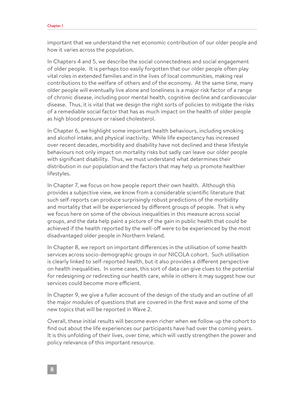important that we understand the net economic contribution of our older people and how it varies across the population.

In Chapters 4 and 5, we describe the social connectedness and social engagement of older people. It is perhaps too easily forgotten that our older people often play vital roles in extended families and in the lives of local communities, making real contributions to the welfare of others and of the economy. At the same time, many older people will eventually live alone and loneliness is a major risk factor of a range of chronic disease, including poor mental health, cognitive decline and cardiovascular disease. Thus, it is vital that we design the right sorts of policies to mitigate the risks of a remediable social factor that has as much impact on the health of older people as high blood pressure or raised cholesterol.

In Chapter 6, we highlight some important health behaviours, including smoking and alcohol intake, and physical inactivity. While life expectancy has increased over recent decades, morbidity and disability have not declined and these lifestyle behaviours not only impact on mortality risks but sadly can leave our older people with significant disability. Thus, we must understand what determines their distribution in our population and the factors that may help us promote healthier lifestyles.

In Chapter 7, we focus on how people report their own health. Although this provides a subjective view, we know from a considerable scientific literature that such self-reports can produce surprisingly robust predictions of the morbidity and mortality that will be experienced by different groups of people. That is why we focus here on some of the obvious inequalities in this measure across social groups, and the data help paint a picture of the gain in public health that could be achieved if the health reported by the well-off were to be experienced by the most disadvantaged older people in Northern Ireland.

In Chapter 8, we report on important differences in the utilisation of some health services across socio-demographic groups in our NICOLA cohort. Such utilisation is clearly linked to self-reported health, but it also provides a different perspective on health inequalities. In some cases, this sort of data can give clues to the potential for redesigning or redirecting our health care, while in others it may suggest how our services could become more efficient.

In Chapter 9, we give a fuller account of the design of the study and an outline of all the major modules of questions that are covered in the first wave and some of the new topics that will be reported in Wave 2.

Overall, these initial results will become even richer when we follow-up the cohort to find out about the life experiences our participants have had over the coming years. It is this unfolding of their lives, over time, which will vastly strengthen the power and policy relevance of this important resource.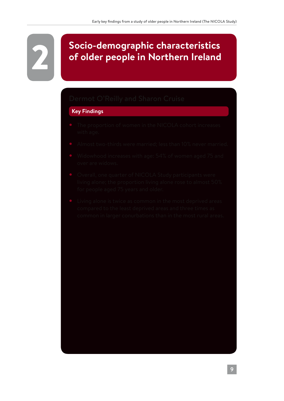# **2 Socio-demographic characteristics<br>of older people in Northern Ireland of older people in Northern Ireland**

#### **Key Findings**

- 
- 
- 
- 
-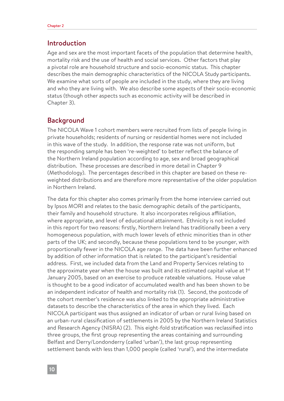#### Introduction

Age and sex are the most important facets of the population that determine health, mortality risk and the use of health and social services. Other factors that play a pivotal role are household structure and socio-economic status. This chapter describes the main demographic characteristics of the NICOLA Study participants. We examine what sorts of people are included in the study, where they are living and who they are living with. We also describe some aspects of their socio-economic status (though other aspects such as economic activity will be described in Chapter 3).

#### Background

The NICOLA Wave 1 cohort members were recruited from lists of people living in private households; residents of nursing or residential homes were not included in this wave of the study. In addition, the response rate was not uniform, but the responding sample has been 're-weighted' to better reflect the balance of the Northern Ireland population according to age, sex and broad geographical distribution. These processes are described in more detail in Chapter 9 (Methodology). The percentages described in this chapter are based on these reweighted distributions and are therefore more representative of the older population in Northern Ireland.

The data for this chapter also comes primarily from the home interview carried out by Ipsos MORI and relates to the basic demographic details of the participants, their family and household structure. It also incorporates religious affiliation, where appropriate, and level of educational attainment. Ethnicity is not included in this report for two reasons: firstly, Northern Ireland has traditionally been a very homogeneous population, with much lower levels of ethnic minorities than in other parts of the UK; and secondly, because these populations tend to be younger, with proportionally fewer in the NICOLA age range. The data have been further enhanced by addition of other information that is related to the participant's residential address. First, we included data from the Land and Property Services relating to the approximate year when the house was built and its estimated capital value at 1<sup>st</sup> January 2005, based on an exercise to produce rateable valuations. House value is thought to be a good indicator of accumulated wealth and has been shown to be an independent indicator of health and mortality risk (1). Second, the postcode of the cohort member's residence was also linked to the appropriate administrative datasets to describe the characteristics of the area in which they lived. Each NICOLA participant was thus assigned an indicator of urban or rural living based on an urban-rural classification of settlements in 2005 by the Northern Ireland Statistics and Research Agency (NISRA) (2). This eight-fold stratification was reclassified into three groups, the first group representing the areas containing and surrounding Belfast and Derry/Londonderry (called 'urban'), the last group representing settlement bands with less than 1,000 people (called 'rural'), and the intermediate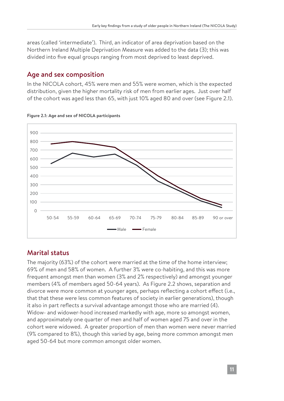areas (called 'intermediate'). Third, an indicator of area deprivation based on the Northern Ireland Multiple Deprivation Measure was added to the data (3); this was divided into five equal groups ranging from most deprived to least deprived.

### Age and sex composition

In the NICOLA cohort, 45% were men and 55% were women, which is the expected distribution, given the higher mortality risk of men from earlier ages. Just over half of the cohort was aged less than 65, with just 10% aged 80 and over (see Figure 2.1).



#### **Figure 2.1: Age and sex of NICOLA participants**

### Marital status

The majority (63%) of the cohort were married at the time of the home interview; 69% of men and 58% of women. A further 3% were co-habiting, and this was more frequent amongst men than women (3% and 2% respectively) and amongst younger members (4% of members aged 50-64 years). As Figure 2.2 shows, separation and divorce were more common at younger ages, perhaps reflecting a cohort effect (i.e., that that these were less common features of society in earlier generations), though it also in part reflects a survival advantage amongst those who are married (4). Widow- and widower-hood increased markedly with age, more so amongst women, and approximately one quarter of men and half of women aged 75 and over in the cohort were widowed. A greater proportion of men than women were never married (9% compared to 8%), though this varied by age, being more common amongst men aged 50-64 but more common amongst older women.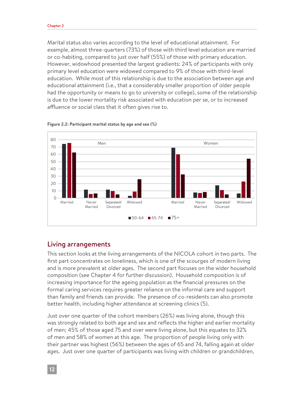Marital status also varies according to the level of educational attainment. For example, almost three-quarters (73%) of those with third level education are married or co-habiting, compared to just over half (55%) of those with primary education. However, widowhood presented the largest gradients: 24% of participants with only primary level education were widowed compared to 9% of those with third-level education. While most of this relationship is due to the association between age and educational attainment (i.e., that a considerably smaller proportion of older people had the opportunity or means to go to university or college), some of the relationship is due to the lower mortality risk associated with education per se, or to increased affluence or social class that it often gives rise to.





#### Living arrangements

This section looks at the living arrangements of the NICOLA cohort in two parts. The first part concentrates on loneliness, which is one of the scourges of modern living and is more prevalent at older ages. The second part focuses on the wider household composition (see Chapter 4 for further discussion). Household composition is of increasing importance for the ageing population as the financial pressures on the formal caring services requires greater reliance on the informal care and support than family and friends can provide. The presence of co-residents can also promote better health, including higher attendance at screening clinics (5).

Just over one quarter of the cohort members (26%) was living alone, though this was strongly related to both age and sex and reflects the higher and earlier mortality of men; 45% of those aged 75 and over were living alone, but this equates to 32% of men and 58% of women at this age. The proportion of people living only with their partner was highest (56%) between the ages of 65 and 74, falling again at older ages. Just over one quarter of participants was living with children or grandchildren,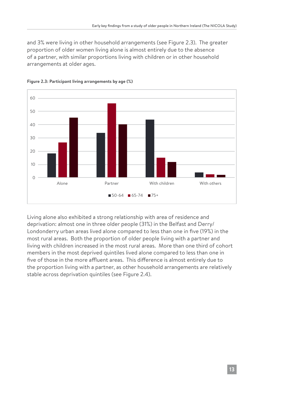and 3% were living in other household arrangements (see Figure 2.3). The greater proportion of older women living alone is almost entirely due to the absence of a partner, with similar proportions living with children or in other household arrangements at older ages.



#### **Figure 2.3: Participant living arrangements by age (%)**

Living alone also exhibited a strong relationship with area of residence and deprivation: almost one in three older people (31%) in the Belfast and Derry/ Londonderry urban areas lived alone compared to less than one in five (19%) in the most rural areas. Both the proportion of older people living with a partner and living with children increased in the most rural areas. More than one third of cohort members in the most deprived quintiles lived alone compared to less than one in five of those in the more affluent areas. This difference is almost entirely due to the proportion living with a partner, as other household arrangements are relatively stable across deprivation quintiles (see Figure 2.4).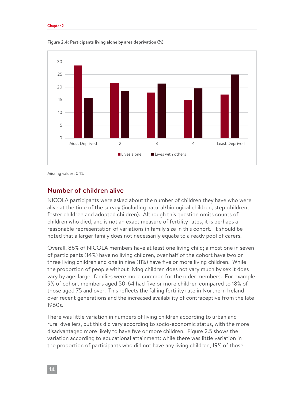

**Figure 2.4: Participants living alone by area deprivation (%)**

Missing values: 0.1%

#### Number of children alive

NICOLA participants were asked about the number of children they have who were alive at the time of the survey (including natural/biological children, step-children, foster children and adopted children). Although this question omits counts of children who died, and is not an exact measure of fertility rates, it is perhaps a reasonable representation of variations in family size in this cohort. It should be noted that a larger family does not necessarily equate to a ready pool of carers.

Overall, 86% of NICOLA members have at least one living child; almost one in seven of participants (14%) have no living children, over half of the cohort have two or three living children and one in nine (11%) have five or more living children. While the proportion of people without living children does not vary much by sex it does vary by age: larger families were more common for the older members. For example, 9% of cohort members aged 50-64 had five or more children compared to 18% of those aged 75 and over. This reflects the falling fertility rate in Northern Ireland over recent generations and the increased availability of contraceptive from the late 1960s.

There was little variation in numbers of living children according to urban and rural dwellers, but this did vary according to socio-economic status, with the more disadvantaged more likely to have five or more children. Figure 2.5 shows the variation according to educational attainment: while there was little variation in the proportion of participants who did not have any living children, 19% of those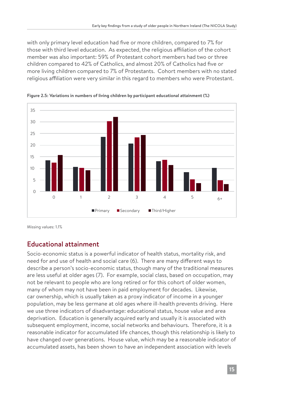with only primary level education had five or more children, compared to 7% for those with third level education. As expected, the religious affiliation of the cohort member was also important: 59% of Protestant cohort members had two or three children compared to 42% of Catholics, and almost 20% of Catholics had five or more living children compared to 7% of Protestants. Cohort members with no stated religious affiliation were very similar in this regard to members who were Protestant.



**Figure 2.5: Variations in numbers of living children by participant educational attainment (%)**

Missing values: 1.1%

### Educational attainment

Socio-economic status is a powerful indicator of health status, mortality risk, and need for and use of health and social care (6). There are many different ways to describe a person's socio-economic status, though many of the traditional measures are less useful at older ages (7). For example, social class, based on occupation, may not be relevant to people who are long retired or for this cohort of older women, many of whom may not have been in paid employment for decades. Likewise, car ownership, which is usually taken as a proxy indicator of income in a younger population, may be less germane at old ages where ill-health prevents driving. Here we use three indicators of disadvantage: educational status, house value and area deprivation. Education is generally acquired early and usually it is associated with subsequent employment, income, social networks and behaviours. Therefore, it is a reasonable indicator for accumulated life chances, though this relationship is likely to have changed over generations. House value, which may be a reasonable indicator of accumulated assets, has been shown to have an independent association with levels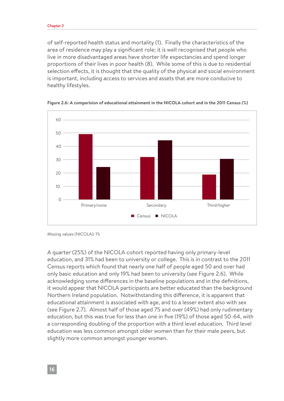#### Chapter 2

of self-reported health status and mortality (1). Finally the characteristics of the area of residence may play a significant role; it is well recognised that people who live in more disadvantaged areas have shorter life expectancies and spend longer proportions of their lives in poor health (8). While some of this is due to residential selection effects, it is thought that the quality of the physical and social environment is important, including access to services and assets that are more conducive to healthy lifestyles.





Missing values (NICOLA): 1%

A quarter (25%) of the NICOLA cohort reported having only primary-level education, and 31% had been to university or college. This is in contrast to the 2011 Census reports which found that nearly one half of people aged 50 and over had only basic education and only 19% had been to university (see Figure 2.6). While acknowledging some differences in the baseline populations and in the definitions, it would appear that NICOLA participants are better educated than the background Northern Ireland population. Notwithstanding this difference, it is apparent that educational attainment is associated with age, and to a lesser extent also with sex (see Figure 2.7). Almost half of those aged 75 and over (49%) had only rudimentary education, but this was true for less than one in five (19%) of those aged 50-64, with a corresponding doubling of the proportion with a third level education. Third level education was less common amongst older women than for their male peers, but slightly more common amongst younger women.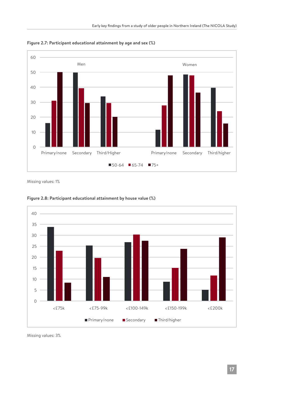

**Figure 2.7: Participant educational attainment by age and sex (%)**

Missing values: 1%



**Figure 2.8: Participant educational attainment by house value (%)**

Missing values: 3%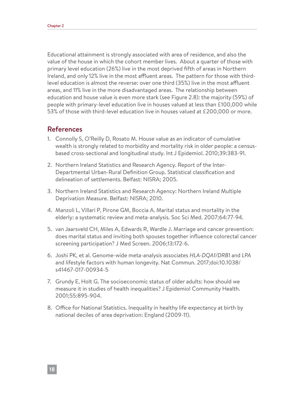Educational attainment is strongly associated with area of residence, and also the value of the house in which the cohort member lives. About a quarter of those with primary level education (26%) live in the most deprived fifth of areas in Northern Ireland, and only 12% live in the most affluent areas. The pattern for those with thirdlevel education is almost the reverse: over one third (35%) live in the most affluent areas, and 11% live in the more disadvantaged areas. The relationship between education and house value is even more stark (see Figure 2.8): the majority (59%) of people with primary-level education live in houses valued at less than £100,000 while 53% of those with third-level education live in houses valued at £200,000 or more.

#### References

- 1. Connolly S, O'Reilly D, Rosato M. House value as an indicator of cumulative wealth is strongly related to morbidity and mortality risk in older people: a censusbased cross-sectional and longitudinal study. Int J Epidemiol. 2010;39:383-91.
- 2. Northern Ireland Statistics and Research Agency. Report of the Inter-Departmental Urban-Rural Definition Group. Statistical classification and delineation of settlements. Belfast: NISRA; 2005.
- 3. Northern Ireland Statistics and Research Agency: Northern Ireland Multiple Deprivation Measure. Belfast: NISRA; 2010.
- 4. Manzoli L, Villari P, Pirone GM, Boccia A. Marital status and mortality in the elderly: a systematic review and meta-analysis. Soc Sci Med. 2007;64:77-94.
- 5. van Jaarsveld CH, Miles A, Edwards R, Wardle J. Marriage and cancer prevention: does marital status and inviting both spouses together influence colorectal cancer screening participation? J Med Screen. 2006;13:172-6.
- 6. Joshi PK, et al. Genome-wide meta-analysis associates *HLA-DQA1/DRB1* and *LPA* and lifestyle factors with human longevity. Nat Commun. 2017;doi:10.1038/ s41467-017-00934-5
- 7. Grundy E, Holt G. The socioeconomic status of older adults: how should we measure it in studies of health inequalities? J Epidemiol Community Health. 2001;55:895-904.
- 8. Office for National Statistics. Inequality in healthy life expectancy at birth by national deciles of area deprivation: England (2009-11).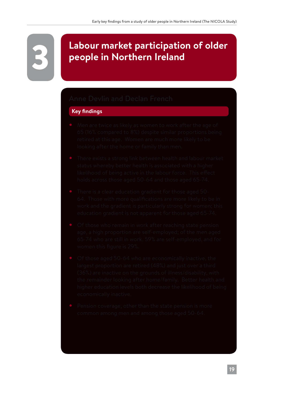# 3 **Labour market participation of older people in Northern Ireland**

#### **Key findings**

- 
- 
- 
- 
- 
-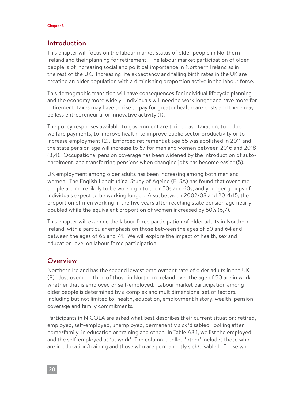#### Introduction

This chapter will focus on the labour market status of older people in Northern Ireland and their planning for retirement. The labour market participation of older people is of increasing social and political importance in Northern Ireland as in the rest of the UK. Increasing life expectancy and falling birth rates in the UK are creating an older population with a diminishing proportion active in the labour force.

This demographic transition will have consequences for individual lifecycle planning and the economy more widely. Individuals will need to work longer and save more for retirement; taxes may have to rise to pay for greater healthcare costs and there may be less entrepreneurial or innovative activity (1).

The policy responses available to government are to increase taxation, to reduce welfare payments, to improve health, to improve public sector productivity or to increase employment (2). Enforced retirement at age 65 was abolished in 2011 and the state pension age will increase to 67 for men and women between 2016 and 2018 (3,4). Occupational pension coverage has been widened by the introduction of autoenrolment, and transferring pensions when changing jobs has become easier (5).

UK employment among older adults has been increasing among both men and women. The English Longitudinal Study of Ageing (ELSA) has found that over time people are more likely to be working into their 50s and 60s, and younger groups of individuals expect to be working longer. Also, between 2002/03 and 2014/15, the proportion of men working in the five years after reaching state pension age nearly doubled while the equivalent proportion of women increased by 50% (6,7).

This chapter will examine the labour force participation of older adults in Northern Ireland, with a particular emphasis on those between the ages of 50 and 64 and between the ages of 65 and 74. We will explore the impact of health, sex and education level on labour force participation.

#### **Overview**

Northern Ireland has the second lowest employment rate of older adults in the UK (8). Just over one third of those in Northern Ireland over the age of 50 are in work whether that is employed or self-employed. Labour market participation among older people is determined by a complex and multidimensional set of factors, including but not limited to: health, education, employment history, wealth, pension coverage and family commitments.

Participants in NICOLA are asked what best describes their current situation: retired, employed, self-employed, unemployed, permanently sick/disabled, looking after home/family, in education or training and other. In Table A3.1, we list the employed and the self-employed as 'at work'. The column labelled 'other' includes those who are in education/training and those who are permanently sick/disabled. Those who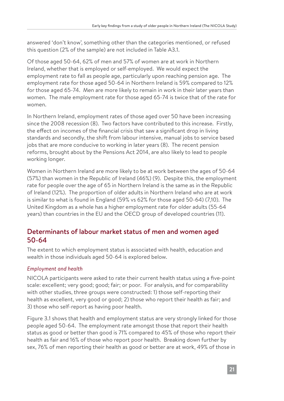answered 'don't know', something other than the categories mentioned, or refused this question (2% of the sample) are not included in Table A3.1.

Of those aged 50-64, 62% of men and 57% of women are at work in Northern Ireland, whether that is employed or self-employed. We would expect the employment rate to fall as people age, particularly upon reaching pension age. The employment rate for those aged 50-64 in Northern Ireland is 59% compared to 12% for those aged 65-74. Men are more likely to remain in work in their later years than women. The male employment rate for those aged 65-74 is twice that of the rate for women.

In Northern Ireland, employment rates of those aged over 50 have been increasing since the 2008 recession (8). Two factors have contributed to this increase. Firstly, the effect on incomes of the financial crisis that saw a significant drop in living standards and secondly, the shift from labour intensive, manual jobs to service based jobs that are more conducive to working in later years (8). The recent pension reforms, brought about by the Pensions Act 2014, are also likely to lead to people working longer.

Women in Northern Ireland are more likely to be at work between the ages of 50-64 (57%) than women in the Republic of Ireland (46%) (9). Despite this, the employment rate for people over the age of 65 in Northern Ireland is the same as in the Republic of Ireland (12%). The proportion of older adults in Northern Ireland who are at work is similar to what is found in England (59% vs 62% for those aged 50-64) (7,10). The United Kingdom as a whole has a higher employment rate for older adults (55-64 years) than countries in the EU and the OECD group of developed countries (11).

## Determinants of labour market status of men and women aged 50-64

The extent to which employment status is associated with health, education and wealth in those individuals aged 50-64 is explored below.

#### *Employment and health*

NICOLA participants were asked to rate their current health status using a five-point scale: excellent; very good; good; fair; or poor. For analysis, and for comparability with other studies, three groups were constructed: 1) those self-reporting their health as excellent, very good or good; 2) those who report their health as fair; and 3) those who self-report as having poor health.

Figure 3.1 shows that health and employment status are very strongly linked for those people aged 50-64. The employment rate amongst those that report their health status as good or better than good is 71% compared to 45% of those who report their health as fair and 16% of those who report poor health. Breaking down further by sex, 76% of men reporting their health as good or better are at work, 49% of those in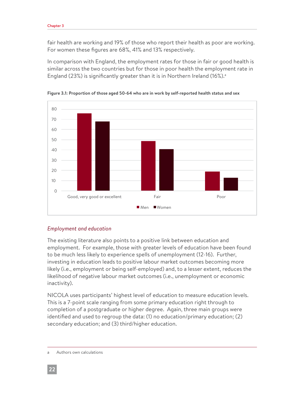fair health are working and 19% of those who report their health as poor are working. For women these figures are 68%, 41% and 13% respectively.

In comparison with England, the employment rates for those in fair or good health is similar across the two countries but for those in poor health the employment rate in England (23%) is significantly greater than it is in Northern Ireland (16%).<sup>a</sup>



**Figure 3.1: Proportion of those aged 50-64 who are in work by self-reported health status and sex** 

#### *Employment and education*

The existing literature also points to a positive link between education and employment. For example, those with greater levels of education have been found to be much less likely to experience spells of unemployment (12-16). Further, investing in education leads to positive labour market outcomes becoming more likely (i.e., employment or being self-employed) and, to a lesser extent, reduces the likelihood of negative labour market outcomes (i.e., unemployment or economic inactivity).

NICOLA uses participants' highest level of education to measure education levels. This is a 7-point scale ranging from some primary education right through to completion of a postgraduate or higher degree. Again, three main groups were identified and used to regroup the data: (1) no education/primary education; (2) secondary education; and (3) third/higher education.

Authors own calculations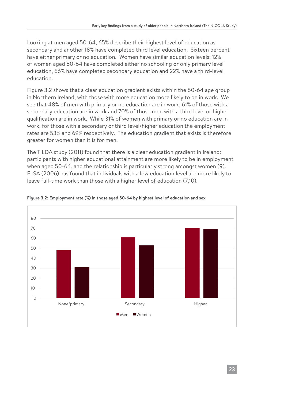Looking at men aged 50-64, 65% describe their highest level of education as secondary and another 18% have completed third level education. Sixteen percent have either primary or no education. Women have similar education levels: 12% of women aged 50-64 have completed either no schooling or only primary level education, 66% have completed secondary education and 22% have a third-level education.

Figure 3.2 shows that a clear education gradient exists within the 50-64 age group in Northern Ireland, with those with more education more likely to be in work. We see that 48% of men with primary or no education are in work, 61% of those with a secondary education are in work and 70% of those men with a third level or higher qualification are in work. While 31% of women with primary or no education are in work, for those with a secondary or third level/higher education the employment rates are 53% and 69% respectively. The education gradient that exists is therefore greater for women than it is for men.

The TILDA study (2011) found that there is a clear education gradient in Ireland: participants with higher educational attainment are more likely to be in employment when aged 50-64, and the relationship is particularly strong amongst women (9). ELSA (2006) has found that individuals with a low education level are more likely to leave full-time work than those with a higher level of education (7,10).



#### **Figure 3.2: Employment rate (%) in those aged 50-64 by highest level of education and sex**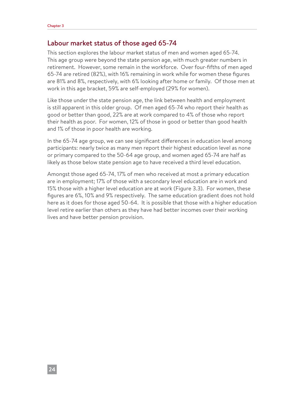#### Labour market status of those aged 65-74

This section explores the labour market status of men and women aged 65-74. This age group were beyond the state pension age, with much greater numbers in retirement. However, some remain in the workforce. Over four-fifths of men aged 65-74 are retired (82%), with 16% remaining in work while for women these figures are 81% and 8%, respectively, with 6% looking after home or family. Of those men at work in this age bracket, 59% are self-employed (29% for women).

Like those under the state pension age, the link between health and employment is still apparent in this older group. Of men aged 65-74 who report their health as good or better than good, 22% are at work compared to 4% of those who report their health as poor. For women, 12% of those in good or better than good health and 1% of those in poor health are working.

In the 65-74 age group, we can see significant differences in education level among participants: nearly twice as many men report their highest education level as none or primary compared to the 50-64 age group, and women aged 65-74 are half as likely as those below state pension age to have received a third level education.

Amongst those aged 65-74, 17% of men who received at most a primary education are in employment; 17% of those with a secondary level education are in work and 15% those with a higher level education are at work (Figure 3.3). For women, these figures are 6%, 10% and 9% respectively. The same education gradient does not hold here as it does for those aged 50-64. It is possible that those with a higher education level retire earlier than others as they have had better incomes over their working lives and have better pension provision.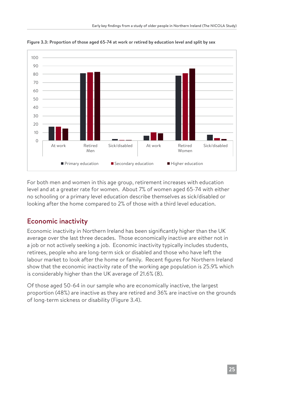

**Figure 3.3: Proportion of those aged 65-74 at work or retired by education level and split by sex**

For both men and women in this age group, retirement increases with education level and at a greater rate for women. About 7% of women aged 65-74 with either no schooling or a primary level education describe themselves as sick/disabled or looking after the home compared to 2% of those with a third level education.

#### Economic inactivity

Economic inactivity in Northern Ireland has been significantly higher than the UK average over the last three decades. Those economically inactive are either not in a job or not actively seeking a job. Economic inactivity typically includes students, retirees, people who are long-term sick or disabled and those who have left the labour market to look after the home or family. Recent figures for Northern Ireland show that the economic inactivity rate of the working age population is 25.9% which is considerably higher than the UK average of 21.6% (8).

Of those aged 50-64 in our sample who are economically inactive, the largest proportion (48%) are inactive as they are retired and 36% are inactive on the grounds of long-term sickness or disability (Figure 3.4).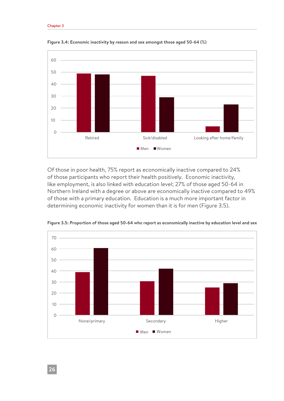#### Chapter 3



**Figure 3.4: Economic inactivity by reason and sex amongst those aged 50-64 (%)**

Of those in poor health, 75% report as economically inactive compared to 24% of those participants who report their health positively. Economic inactivity, like employment, is also linked with education level; 27% of those aged 50-64 in Northern Ireland with a degree or above are economically inactive compared to 49% of those with a primary education. Education is a much more important factor in determining economic inactivity for women than it is for men (Figure 3.5).



**Figure 3.5: Proportion of those aged 50-64 who report as economically inactive by education level and sex**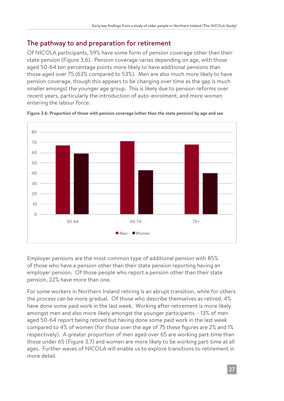#### The pathway to and preparation for retirement

Of NICOLA participants, 59% have some form of pension coverage other than their state pension (Figure 3.6). Pension coverage varies depending on age, with those aged 50-64 ten percentage points more likely to have additional pensions than those aged over 75 (63% compared to 53%). Men are also much more likely to have pension coverage, though this appears to be changing over time as the gap is much smaller amongst the younger age group. This is likely due to pension reforms over recent years, particularly the introduction of auto-enrolment, and more women entering the labour force.



**Figure 3.6: Proportion of those with pension coverage (other than the state pension) by age and sex**

Employer pensions are the most common type of additional pension with 85% of those who have a pension other than their state pension reporting having an employer pension. Of those people who report a pension other than their state pension, 22% have more than one.

For some workers in Northern Ireland retiring is an abrupt transition, while for others the process can be more gradual. Of those who describe themselves as retired, 4% have done some paid work in the last week. Working after retirement is more likely amongst men and also more likely amongst the younger participants – 13% of men aged 50-64 report being retired but having done some paid work in the last week compared to 4% of women (for those over the age of 75 these figures are 2% and 1% respectively). A greater proportion of men aged over 65 are working part-time than those under 65 (Figure 3.7) and women are more likely to be working part-time at all ages. Further waves of NICOLA will enable us to explore transitions to retirement in more detail.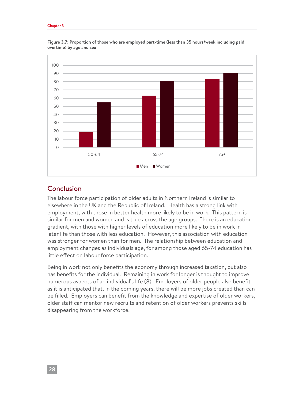#### Chapter 3



**Figure 3.7: Proportion of those who are employed part-time (less than 35 hours/week including paid overtime) by age and sex**

#### Conclusion

The labour force participation of older adults in Northern Ireland is similar to elsewhere in the UK and the Republic of Ireland. Health has a strong link with employment, with those in better health more likely to be in work. This pattern is similar for men and women and is true across the age groups. There is an education gradient, with those with higher levels of education more likely to be in work in later life than those with less education. However, this association with education was stronger for women than for men. The relationship between education and employment changes as individuals age, for among those aged 65-74 education has little effect on labour force participation.

Being in work not only benefits the economy through increased taxation, but also has benefits for the individual. Remaining in work for longer is thought to improve numerous aspects of an individual's life (8). Employers of older people also benefit as it is anticipated that, in the coming years, there will be more jobs created than can be filled. Employers can benefit from the knowledge and expertise of older workers, older staff can mentor new recruits and retention of older workers prevents skills disappearing from the workforce.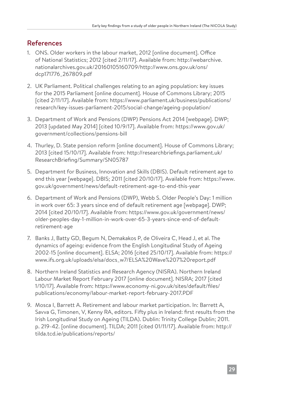## References

- 1. ONS. Older workers in the labour market, 2012 [online document]. Office of National Statistics; 2012 [cited 2/11/17]. Available from: http://webarchive. nationalarchives.gov.uk/20160105160709/http://www.ons.gov.uk/ons/ dcp171776\_267809.pdf
- 2. UK Parliament. Political challenges relating to an aging population: key issues for the 2015 Parliament [online document]. House of Commons Library; 2015 [cited 2/11/17]. Available from: https://www.parliament.uk/business/publications/ research/key-issues-parliament-2015/social-change/ageing-population/
- 3. Department of Work and Pensions (DWP) Pensions Act 2014 [webpage]. DWP; 2013 [updated May 2014] [cited 10/9/17]. Available from: https://www.gov.uk/ government/collections/pensions-bill
- 4. Thurley, D. State pension reform [online document]. House of Commons Library; 2013 [cited 15/10/17]. Available from: http://researchbriefings.parliament.uk/ ResearchBriefing/Summary/SN05787
- 5. Department for Business, Innovation and Skills (DBIS). Default retirement age to end this year [webpage]. DBIS; 2011 [cited 20/10/17]. Available from: https://www. gov.uk/government/news/default-retirement-age-to-end-this-year
- 6. Department of Work and Pensions (DWP), Webb S. Older People's Day: 1 million in work over 65: 3 years since end of default retirement age [webpage]. DWP; 2014 [cited 20/10/17]. Available from: https://www.gov.uk/government/news/ older-peoples-day-1-million-in-work-over-65-3-years-since-end-of-defaultretirement-age
- 7. Banks J, Batty GD, Begum N, Demakakos P, de Oliveira C, Head J, et al. The dynamics of ageing: evidence from the English Longitudinal Study of Ageing 2002-15 [online document]. ELSA; 2016 [cited 25/10/17]. Available from: https:// www.ifs.org.uk/uploads/elsa/docs\_w7/ELSA%20Wave%207%20report.pdf
- 8. Northern Ireland Statistics and Research Agency (NISRA). Northern Ireland Labour Market Report February 2017 [online document]. NISRA; 2017 [cited 1/10/17]. Available from: https://www.economy-ni.gov.uk/sites/default/files/ publications/economy/labour-market-report-february-2017.PDF
- 9. Mosca I, Barrett A. Retirement and labour market participation. In: Barrett A, Savva G, Timonen, V, Kenny RA, editors. Fifty plus in Ireland: first results from the Irish Longitudinal Study on Ageing (TILDA). Dublin: Trinity College Dublin; 2011. p. 219-42. [online document]. TILDA; 2011 [cited 01/11/17]. Available from: http:// tilda.tcd.ie/publications/reports/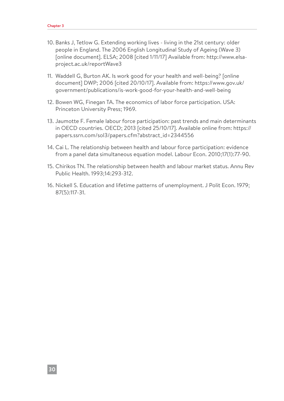- 10. Banks J, Tetlow G. Extending working lives living in the 21st century: older people in England. The 2006 English Longitudinal Study of Ageing (Wave 3) [online document]. ELSA; 2008 [cited 1/11/17] Available from: http://www.elsaproject.ac.uk/reportWave3
- 11. Waddell G, Burton AK. Is work good for your health and well-being? [online document] DWP; 2006 [cited 20/10/17]. Available from: https://www.gov.uk/ government/publications/is-work-good-for-your-health-and-well-being
- 12. Bowen WG, Finegan TA. The economics of labor force participation. USA: Princeton University Press; 1969.
- 13. Jaumotte F. Female labour force participation: past trends and main determinants in OECD countries. OECD; 2013 [cited 25/10/17]. Available online from: https:// papers.ssrn.com/sol3/papers.cfm?abstract\_id=2344556
- 14. Cai L. The relationship between health and labour force participation: evidence from a panel data simultaneous equation model. Labour Econ. 2010;17(1):77-90.
- 15. Chirikos TN. The relationship between health and labour market status. Annu Rev Public Health. 1993;14:293-312.
- 16. Nickell S. Education and lifetime patterns of unemployment. J Polit Econ. 1979; 87(5):117-31.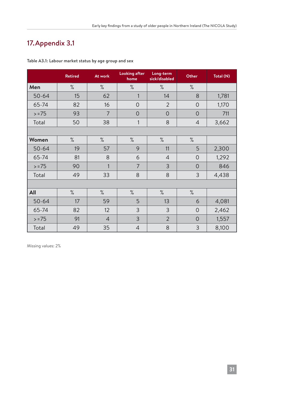## 17. Appendix 3.1

|           | <b>Retired</b> | At work        | <b>Looking after</b><br>home | Long-term<br>sick/disabled | Other          | Total (N) |
|-----------|----------------|----------------|------------------------------|----------------------------|----------------|-----------|
| Men       | $\%$           | $\%$           | $\%$                         | $\%$                       | $\%$           |           |
| $50 - 64$ | 15             | 62             | 1                            | 14                         | 8              | 1,781     |
| 65-74     | 82             | 16             | $\overline{0}$               | $\overline{2}$             | $\overline{O}$ | 1,170     |
| $> = 75$  | 93             | $\overline{7}$ | $\overline{0}$               | $\overline{0}$             | $\overline{O}$ | 711       |
| Total     | 50             | 38             | 1                            | 8                          | $\overline{4}$ | 3,662     |
|           |                |                |                              |                            |                |           |
| Women     | $\%$           | $\%$           | $\%$                         | $\%$                       | $\%$           |           |
| $50 - 64$ | 19             | 57             | 9                            | 11                         | 5              | 2,300     |
| 65-74     | 81             | 8              | 6                            | $\overline{4}$             | $\overline{O}$ | 1,292     |
| $> = 75$  | 90             | 1              | $\overline{7}$               | 3                          | $\overline{O}$ | 846       |
| Total     | 49             | 33             | 8                            | 8                          | $\overline{3}$ | 4,438     |
|           |                |                |                              |                            |                |           |
| All       | $\%$           | $\%$           | $\%$                         | $\%$                       | $\%$           |           |
| $50 - 64$ | 17             | 59             | 5                            | 13                         | 6              | 4,081     |
| 65-74     | 82             | 12             | 3                            | 3                          | $\overline{0}$ | 2,462     |
| $> = 75$  | 91             | $\overline{4}$ | 3                            | $\overline{2}$             | $\overline{O}$ | 1,557     |
| Total     | 49             | 35             | $\overline{4}$               | 8                          | $\overline{3}$ | 8,100     |

**Table A3.1: Labour market status by age group and sex**

Missing values: 2%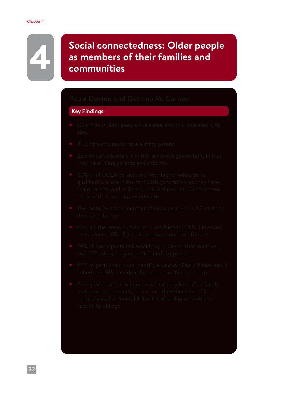# **A Social connectedness: Older people**<br> **A Bost as members of their families and as members of their families and communities**

#### **Key Findings**

- 
- 
- 
- 
- 
- 
- 
- 
-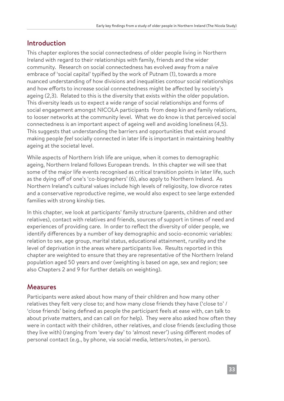#### Introduction

This chapter explores the social connectedness of older people living in Northern Ireland with regard to their relationships with family, friends and the wider community. Research on social connectedness has evolved away from a naïve embrace of 'social capital' typified by the work of Putnam (1), towards a more nuanced understanding of how divisions and inequalities contour social relationships and how efforts to increase social connectedness might be affected by society's ageing (2,3). Related to this is the diversity that exists within the older population. This diversity leads us to expect a wide range of social relationships and forms of social engagement amongst NICOLA participants from deep kin and family relations, to looser networks at the community level. What we do know is that perceived social connectedness is an important aspect of ageing well and avoiding loneliness (4,5). This suggests that understanding the barriers and opportunities that exist around making people *feel* socially connected in later life is important in maintaining healthy ageing at the societal level.

While aspects of Northern Irish life are unique, when it comes to demographic ageing, Northern Ireland follows European trends. In this chapter we will see that some of the major life events recognised as critical transition points in later life, such as the dying off of one's 'co-biographers' (6), also apply to Northern Ireland. As Northern Ireland's cultural values include high levels of religiosity, low divorce rates and a conservative reproductive regime, we would also expect to see large extended families with strong kinship ties.

In this chapter, we look at participants' family structure (parents, children and other relatives), contact with relatives and friends, sources of support in times of need and experiences of providing care. In order to reflect the diversity of older people, we identify differences by a number of key demographic and socio-economic variables: relation to sex, age group, marital status, educational attainment, rurality and the level of deprivation in the areas where participants live. Results reported in this chapter are weighted to ensure that they are representative of the Northern Ireland population aged 50 years and over (weighting is based on age, sex and region; see also Chapters 2 and 9 for further details on weighting).

#### Measures

Participants were asked about how many of their children and how many other relatives they felt very close to; and how many close friends they have ('close to' / 'close friends' being defined as people the participant feels at ease with, can talk to about private matters, and can call on for help). They were also asked how often they were in contact with their children, other relatives, and close friends (excluding those they live with) (ranging from 'every day' to 'almost never') using different modes of personal contact (e.g., by phone, via social media, letters/notes, in person).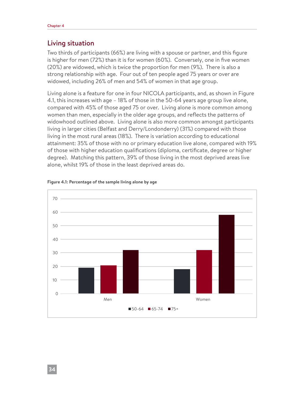#### Living situation

Two thirds of participants (66%) are living with a spouse or partner, and this figure is higher for men (72%) than it is for women (60%). Conversely, one in five women (20%) are widowed, which is twice the proportion for men (9%). There is also a strong relationship with age. Four out of ten people aged 75 years or over are widowed, including 26% of men and 54% of women in that age group.

Living alone is a feature for one in four NICOLA participants, and, as shown in Figure 4.1, this increases with age – 18% of those in the 50-64 years age group live alone, compared with 45% of those aged 75 or over. Living alone is more common among women than men, especially in the older age groups, and reflects the patterns of widowhood outlined above. Living alone is also more common amongst participants living in larger cities (Belfast and Derry/Londonderry) (31%) compared with those living in the most rural areas (18%). There is variation according to educational attainment: 35% of those with no or primary education live alone, compared with 19% of those with higher education qualifications (diploma, certificate, degree or higher degree). Matching this pattern, 39% of those living in the most deprived areas live alone, whilst 19% of those in the least deprived areas do.



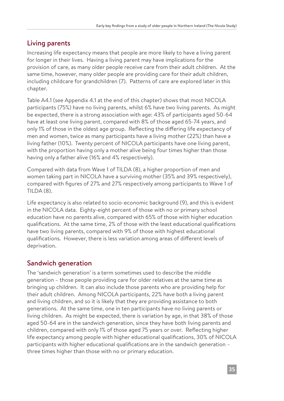## Living parents

Increasing life expectancy means that people are more likely to have a living parent for longer in their lives. Having a living parent may have implications for the provision of care, as many older people receive care from their adult children. At the same time, however, many older people are providing care for their adult children, including childcare for grandchildren (7). Patterns of care are explored later in this chapter.

Table A4.1 (see Appendix 4.1 at the end of this chapter) shows that most NICOLA participants (75%) have no living parents, whilst 6% have two living parents. As might be expected, there is a strong association with age: 43% of participants aged 50-64 have at least one living parent, compared with 8% of those aged 65-74 years, and only 1% of those in the oldest age group. Reflecting the differing life expectancy of men and women, twice as many participants have a living mother (22%) than have a living father (10%). Twenty percent of NICOLA participants have one living parent, with the proportion having only a mother alive being four times higher than those having only a father alive (16% and 4% respectively).

Compared with data from Wave 1 of TILDA (8), a higher proportion of men and women taking part in NICOLA have a surviving mother (35% and 39% respectively), compared with figures of 27% and 27% respectively among participants to Wave 1 of TILDA (8).

Life expectancy is also related to socio-economic background (9), and this is evident in the NICOLA data. Eighty-eight percent of those with no or primary school education have no parents alive, compared with 65% of those with higher education qualifications. At the same time, 2% of those with the least educational qualifications have two living parents, compared with 9% of those with highest educational qualifications. However, there is less variation among areas of different levels of deprivation.

## Sandwich generation

The 'sandwich generation' is a term sometimes used to describe the middle generation – those people providing care for older relatives at the same time as bringing up children. It can also include those parents who are providing help for their adult children. Among NICOLA participants, 22% have both a living parent and living children, and so it is likely that they are providing assistance to both generations. At the same time, one in ten participants have no living parents or living children. As might be expected, there is variation by age, in that 38% of those aged 50-64 are in the sandwich generation, since they have both living parents and children, compared with only 1% of those aged 75 years or over. Reflecting higher life expectancy among people with higher educational qualifications, 30% of NICOLA participants with higher educational qualifications are in the sandwich generation – three times higher than those with no or primary education.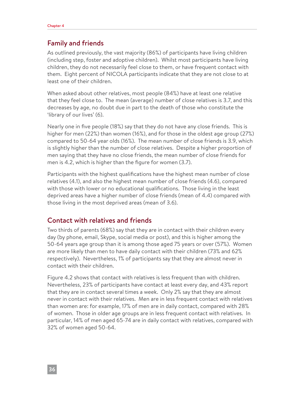#### Family and friends

As outlined previously, the vast majority (86%) of participants have living children (including step, foster and adoptive children). Whilst most participants have living children, they do not necessarily feel close to them, or have frequent contact with them. Eight percent of NICOLA participants indicate that they are not close to at least one of their children.

When asked about other relatives, most people (84%) have at least one relative that they feel close to. The mean (average) number of close relatives is 3.7, and this decreases by age, no doubt due in part to the death of those who constitute the 'library of our lives' (6).

Nearly one in five people (18%) say that they do not have any close friends. This is higher for men (22%) than women (16%), and for those in the oldest age group (27%) compared to 50-64 year olds (16%). The mean number of close friends is 3.9, which is slightly higher than the number of close relatives. Despite a higher proportion of men saying that they have no close friends, the mean number of close friends for men is 4.2, which is higher than the figure for women (3.7).

Participants with the highest qualifications have the highest mean number of close relatives (4.1), and also the highest mean number of close friends (4.6), compared with those with lower or no educational qualifications. Those living in the least deprived areas have a higher number of close friends (mean of 4.4) compared with those living in the most deprived areas (mean of 3.6).

#### Contact with relatives and friends

Two thirds of parents (68%) say that they are in contact with their children every day (by phone, email, Skype, social media or post), and this is higher among the 50-64 years age group than it is among those aged 75 years or over (57%). Women are more likely than men to have daily contact with their children (73% and 62% respectively). Nevertheless, 1% of participants say that they are almost never in contact with their children.

Figure 4.2 shows that contact with relatives is less frequent than with children. Nevertheless, 23% of participants have contact at least every day, and 43% report that they are in contact several times a week. Only 2% say that they are almost never in contact with their relatives. Men are in less frequent contact with relatives than women are: for example, 17% of men are in daily contact, compared with 28% of women. Those in older age groups are in less frequent contact with relatives. In particular, 14% of men aged 65-74 are in daily contact with relatives, compared with 32% of women aged 50-64.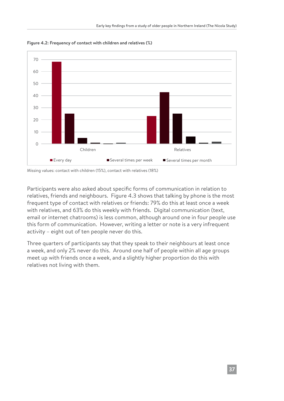

**Figure 4.2: Frequency of contact with children and relatives (%)**

Missing values: contact with children (15%), contact with relatives (18%)

Participants were also asked about specific forms of communication in relation to relatives, friends and neighbours. Figure 4.3 shows that talking by phone is the most frequent type of contact with relatives or friends: 79% do this at least once a week with relatives, and 63% do this weekly with friends. Digital communication (text, email or internet chatrooms) is less common, although around one in four people use this form of communication. However, writing a letter or note is a very infrequent activity – eight out of ten people never do this.

Three quarters of participants say that they speak to their neighbours at least once a week, and only 2% never do this. Around one half of people within all age groups meet up with friends once a week, and a slightly higher proportion do this with relatives not living with them.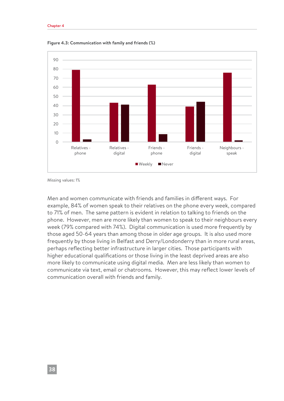

**Figure 4.3: Communication with family and friends (%)**

Missing values: 1%

Men and women communicate with friends and families in different ways. For example, 84% of women speak to their relatives on the phone every week, compared to 71% of men. The same pattern is evident in relation to talking to friends on the phone. However, men are more likely than women to speak to their neighbours every week (79% compared with 74%). Digital communication is used more frequently by those aged 50-64 years than among those in older age groups. It is also used more frequently by those living in Belfast and Derry/Londonderry than in more rural areas, perhaps reflecting better infrastructure in larger cities. Those participants with higher educational qualifications or those living in the least deprived areas are also more likely to communicate using digital media. Men are less likely than women to communicate via text, email or chatrooms. However, this may reflect lower levels of communication overall with friends and family.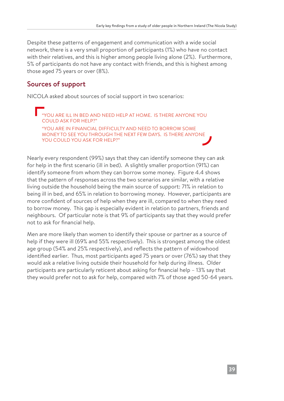Despite these patterns of engagement and communication with a wide social network, there is a very small proportion of participants (1%) who have no contact with their relatives, and this is higher among people living alone (2%). Furthermore, 5% of participants do not have any contact with friends, and this is highest among those aged 75 years or over (8%).

### Sources of support

NICOLA asked about sources of social support in two scenarios:

"YOU ARE ILL IN BED AND NEED HELP AT HOME. IS THERE ANYONE YOU COULD ASK FOR HELP?" "YOU ARE IN FINANCIAL DIFFICULTY AND NEED TO BORROW SOME MONEY TO SEE YOU THROUGH THE NEXT FEW DAYS. IS THERE ANYONE YOU COULD YOU ASK FOR HELP?"

Nearly every respondent (99%) says that they can identify someone they can ask for help in the first scenario (ill in bed). A slightly smaller proportion (91%) can identify someone from whom they can borrow some money. Figure 4.4 shows that the pattern of responses across the two scenarios are similar, with a relative living outside the household being the main source of support: 71% in relation to being ill in bed, and 65% in relation to borrowing money. However, participants are more confident of sources of help when they are ill, compared to when they need to borrow money. This gap is especially evident in relation to partners, friends and neighbours. Of particular note is that 9% of participants say that they would prefer not to ask for financial help.

Men are more likely than women to identify their spouse or partner as a source of help if they were ill (69% and 55% respectively). This is strongest among the oldest age group (54% and 25% respectively), and reflects the pattern of widowhood identified earlier. Thus, most participants aged 75 years or over (76%) say that they would ask a relative living outside their household for help during illness. Older participants are particularly reticent about asking for financial help – 13% say that they would prefer not to ask for help, compared with 7% of those aged 50-64 years.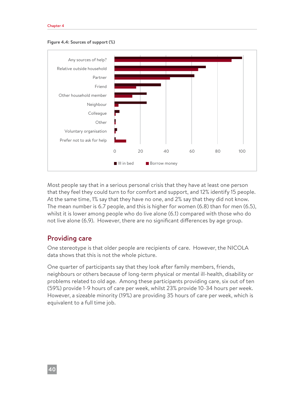#### Chapter 4





Most people say that in a serious personal crisis that they have at least one person that they feel they could turn to for comfort and support, and 12% identify 15 people. At the same time, 1% say that they have no one, and 2% say that they did not know. The mean number is 6.7 people, and this is higher for women (6.8) than for men (6.5), whilst it is lower among people who do live alone (6.1) compared with those who do not live alone (6.9). However, there are no significant differences by age group.

#### Providing care

One stereotype is that older people are recipients of care. However, the NICOLA data shows that this is not the whole picture.

One quarter of participants say that they look after family members, friends, neighbours or others because of long-term physical or mental ill-health, disability or problems related to old age. Among these participants providing care, six out of ten (59%) provide 1-9 hours of care per week, whilst 23% provide 10-34 hours per week. However, a sizeable minority (19%) are providing 35 hours of care per week, which is equivalent to a full time job.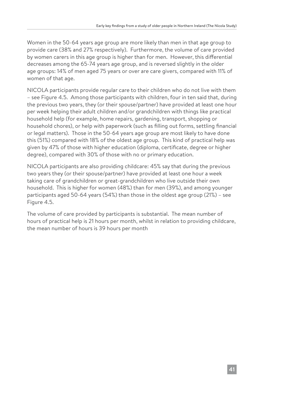Women in the 50-64 years age group are more likely than men in that age group to provide care (38% and 27% respectively). Furthermore, the volume of care provided by women carers in this age group is higher than for men. However, this differential decreases among the 65-74 years age group, and is reversed slightly in the older age groups: 14% of men aged 75 years or over are care givers, compared with 11% of women of that age.

NICOLA participants provide regular care to their children who do not live with them – see Figure 4.5. Among those participants with children, four in ten said that, during the previous two years, they (or their spouse/partner) have provided at least one hour per week helping their adult children and/or grandchildren with things like practical household help (for example, home repairs, gardening, transport, shopping or household chores), or help with paperwork (such as filling out forms, settling financial or legal matters). Those in the 50-64 years age group are most likely to have done this (51%) compared with 18% of the oldest age group. This kind of practical help was given by 47% of those with higher education (diploma, certificate, degree or higher degree), compared with 30% of those with no or primary education.

NICOLA participants are also providing childcare: 45% say that during the previous two years they (or their spouse/partner) have provided at least one hour a week taking care of grandchildren or great-grandchildren who live outside their own household. This is higher for women (48%) than for men (39%), and among younger participants aged 50-64 years (54%) than those in the oldest age group (21%) – see Figure 4.5.

The volume of care provided by participants is substantial. The mean number of hours of practical help is 21 hours per month, whilst in relation to providing childcare, the mean number of hours is 39 hours per month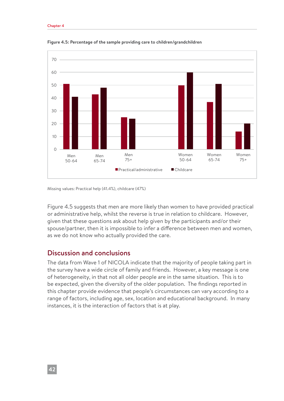

**Figure 4.5: Percentage of the sample providing care to children/grandchildren**

Missing values: Practical help (41.4%), childcare (47%)

Figure 4.5 suggests that men are more likely than women to have provided practical or administrative help, whilst the reverse is true in relation to childcare. However, given that these questions ask about help given by the participants and/or their spouse/partner, then it is impossible to infer a difference between men and women, as we do not know who actually provided the care.

#### Discussion and conclusions

The data from Wave 1 of NICOLA indicate that the majority of people taking part in the survey have a wide circle of family and friends. However, a key message is one of heterogeneity, in that not all older people are in the same situation. This is to be expected, given the diversity of the older population. The findings reported in this chapter provide evidence that people's circumstances can vary according to a range of factors, including age, sex, location and educational background. In many instances, it is the interaction of factors that is at play.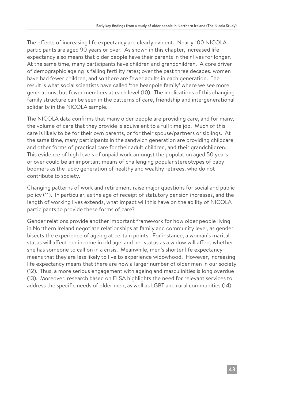The effects of increasing life expectancy are clearly evident. Nearly 100 NICOLA participants are aged 90 years or over. As shown in this chapter, increased life expectancy also means that older people have their parents in their lives for longer. At the same time, many participants have children and grandchildren. A core driver of demographic ageing is falling fertility rates; over the past three decades, women have had fewer children, and so there are fewer adults in each generation. The result is what social scientists have called 'the beanpole family' where we see more generations, but fewer members at each level (10). The implications of this changing family structure can be seen in the patterns of care, friendship and intergenerational solidarity in the NICOLA sample.

The NICOLA data confirms that many older people are providing care, and for many, the volume of care that they provide is equivalent to a full time job. Much of this care is likely to be for their own parents, or for their spouse/partners or siblings. At the same time, many participants in the sandwich generation are providing childcare and other forms of practical care for their adult children, and their grandchildren. This evidence of high levels of unpaid work amongst the population aged 50 years or over could be an important means of challenging popular stereotypes of baby boomers as the lucky generation of healthy and wealthy retirees, who do not contribute to society.

Changing patterns of work and retirement raise major questions for social and public policy (11). In particular, as the age of receipt of statutory pension increases, and the length of working lives extends, what impact will this have on the ability of NICOLA participants to provide these forms of care?

Gender relations provide another important framework for how older people living in Northern Ireland negotiate relationships at family and community level, as gender bisects the experience of ageing at certain points. For instance, a woman's marital status will affect her income in old age, and her status as a widow will affect whether she has someone to call on in a crisis. Meanwhile, men's shorter life expectancy means that they are less likely to live to experience widowhood. However, increasing life expectancy means that there are now a larger number of older men in our society (12). Thus, a more serious engagement with ageing and masculinities is long overdue (13). Moreover, research based on ELSA highlights the need for relevant services to address the specific needs of older men, as well as LGBT and rural communities (14).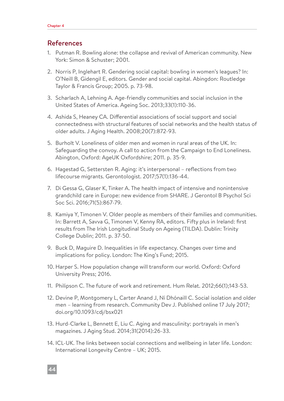#### References

- 1. Putman R. Bowling alone: the collapse and revival of American community. New York: Simon & Schuster; 2001.
- 2. Norris P, Inglehart R. Gendering social capital: bowling in women's leagues? In: O'Neill B, Gidengil E, editors. Gender and social capital. Abingdon: Routledge Taylor & Francis Group; 2005. p. 73-98.
- 3. Scharlach A, Lehning A. Age-friendly communities and social inclusion in the United States of America. Ageing Soc. 2013;33(1):110-36.
- 4. Ashida S, Heaney CA. Differential associations of social support and social connectedness with structural features of social networks and the health status of older adults. J Aging Health. 2008;20(7):872-93.
- 5. Burholt V. Loneliness of older men and women in rural areas of the UK. In: Safeguarding the convoy. A call to action from the Campaign to End Loneliness. Abington, Oxford: AgeUK Oxfordshire; 2011. p. 35-9.
- 6. Hagestad G, Settersten R. Aging: it's interpersonal reflections from two lifecourse migrants. Gerontologist. 2017;57(1):136-44.
- 7. Di Gessa G, Glaser K, Tinker A. The health impact of intensive and nonintensive grandchild care in Europe: new evidence from SHARE. J Gerontol B Psychol Sci Soc Sci. 2016;71(5):867-79.
- 8. Kamiya Y, Timonen V. Older people as members of their families and communities. In: Barrett A, Savva G, Timonen V, Kenny RA, editors. Fifty plus in Ireland: first results from The Irish Longitudinal Study on Ageing (TILDA). Dublin: Trinity College Dublin; 2011. p. 37-50.
- 9. Buck D, Maguire D. Inequalities in life expectancy. Changes over time and implications for policy. London: The King's Fund; 2015.
- 10. Harper S. How population change will transform our world. Oxford: Oxford University Press; 2016.
- 11. Philipson C. The future of work and retirement. Hum Relat. 2012;66(1);143-53.
- 12. Devine P, Montgomery L, Carter Anand J, Ní Dhónaill C. Social isolation and older men – learning from research. Community Dev J. Published online 17 July 2017; doi.org/10.1093/cdj/bsx021
- 13. Hurd-Clarke L, Bennett E, Liu C. Aging and masculinity: portrayals in men's magazines. J Aging Stud. 2014;31(2014):26-33.
- 14. ICL-UK. The links between social connections and wellbeing in later life. London: International Longevity Centre – UK; 2015.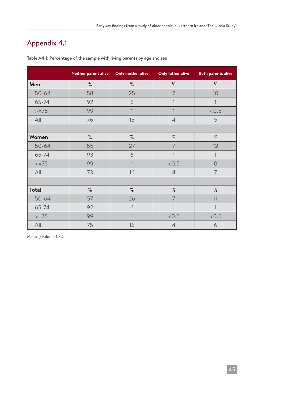## Appendix 4.1

|              | Neither parent alive | Only mother alive | <b>Only father alive</b> | <b>Both parents alive</b> |
|--------------|----------------------|-------------------|--------------------------|---------------------------|
| Men          | $\%$                 | $\%$              | $\%$                     | $\%$                      |
| $50 - 64$    | 58                   | 25                | 7                        | 10                        |
| 65-74        | 92                   | 6                 | $\mathbf{1}$             | $\mathbf{1}$              |
| $> = 75$     | 99                   | 1                 | $\mathbf{1}$             | < 0.5                     |
| All          | 76                   | 15                | $\overline{4}$           | 5                         |
|              |                      |                   |                          |                           |
| Women        | $\%$                 | $\%$              | $\%$                     | $\%$                      |
| $50 - 64$    | 55                   | 27                | 7                        | 12                        |
| 65-74        | 93                   | 6                 | 1                        | 1                         |
| $> = 75$     | 99                   | 1                 | < 0.5                    | $\overline{0}$            |
| All          | 73                   | 16                | $\overline{4}$           | $\overline{7}$            |
|              |                      |                   |                          |                           |
| <b>Total</b> | $\%$                 | $\%$              | $\%$                     | $\%$                      |
| $50 - 64$    | 57                   | 26                | $\overline{7}$           | 11                        |
| 65-74        | 92                   | 6                 | 1                        | 1                         |
| $> = 75$     | 99                   | 1                 | < 0.5                    | < 0.5                     |
| All          | 75                   | 16                | 6<br>$\overline{4}$      |                           |

**Table A4.1: Percentage of the sample with living parents by age and sex**

Missing values=1.3%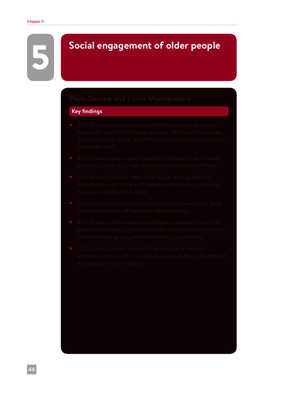# 5 **Social engagement of older people**

#### **Key findings**

- 
- 
- 
- 
- 
-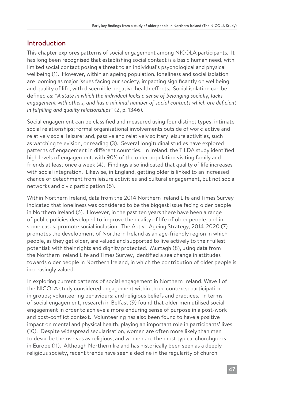### Introduction

This chapter explores patterns of social engagement among NICOLA participants. It has long been recognised that establishing social contact is a basic human need, with limited social contact posing a threat to an individual's psychological and physical wellbeing (1). However, within an ageing population, loneliness and social isolation are looming as major issues facing our society, impacting significantly on wellbeing and quality of life, with discernible negative health effects. Social isolation can be defined as: *"A state in which the individual lacks a sense of belonging socially, lacks engagement with others, and has a minimal number of social contacts which are deficient in fulfilling and quality relationships"* (2, p. 1346).

Social engagement can be classified and measured using four distinct types: intimate social relationships; formal organisational involvements outside of work; active and relatively social leisure; and, passive and relatively solitary leisure activities, such as watching television, or reading (3). Several longitudinal studies have explored patterns of engagement in different countries. In Ireland, the TILDA study identified high levels of engagement, with 90% of the older population visiting family and friends at least once a week (4). Findings also indicated that quality of life increases with social integration. Likewise, in England, getting older is linked to an increased chance of detachment from leisure activities and cultural engagement, but not social networks and civic participation (5).

Within Northern Ireland, data from the 2014 Northern Ireland Life and Times Survey indicated that loneliness was considered to be the biggest issue facing older people in Northern Ireland (6). However, in the past ten years there have been a range of public policies developed to improve the quality of life of older people, and in some cases, promote social inclusion. The Active Ageing Strategy, 2014-2020 (7) promotes the development of Northern Ireland as an age-friendly region in which people, as they get older, are valued and supported to live actively to their fullest potential; with their rights and dignity protected. Murtagh (8), using data from the Northern Ireland Life and Times Survey, identified a sea change in attitudes towards older people in Northern Ireland, in which the contribution of older people is increasingly valued.

In exploring current patterns of social engagement in Northern Ireland, Wave 1 of the NICOLA study considered engagement within three contexts: participation in groups; volunteering behaviours; and religious beliefs and practices. In terms of social engagement, research in Belfast (9) found that older men utilised social engagement in order to achieve a more enduring sense of purpose in a post-work and post-conflict context. Volunteering has also been found to have a positive impact on mental and physical health, playing an important role in participants' lives (10). Despite widespread secularisation, women are often more likely than men to describe themselves as religious, and women are the most typical churchgoers in Europe (11). Although Northern Ireland has historically been seen as a deeply religious society, recent trends have seen a decline in the regularity of church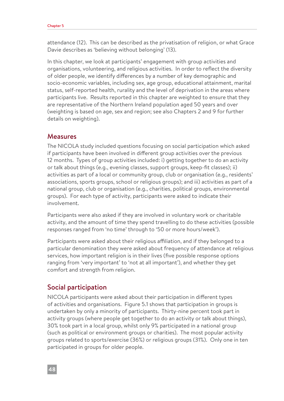attendance (12). This can be described as the privatisation of religion, or what Grace Davie describes as 'believing without belonging' (13).

In this chapter, we look at participants' engagement with group activities and organisations, volunteering, and religious activities. In order to reflect the diversity of older people, we identify differences by a number of key demographic and socio-economic variables, including sex, age group, educational attainment, marital status, self-reported health, rurality and the level of deprivation in the areas where participants live. Results reported in this chapter are weighted to ensure that they are representative of the Northern Ireland population aged 50 years and over (weighting is based on age, sex and region; see also Chapters 2 and 9 for further details on weighting).

#### Measures

The NICOLA study included questions focusing on social participation which asked if participants have been involved in different group activities over the previous 12 months. Types of group activities included: i) getting together to do an activity or talk about things (e.g., evening classes, support groups, keep-fit classes); ii) activities as part of a local or community group, club or organisation (e.g., residents' associations, sports groups, school or religious groups); and iii) activities as part of a national group, club or organisation (e.g., charities, political groups, environmental groups). For each type of activity, participants were asked to indicate their involvement.

Participants were also asked if they are involved in voluntary work or charitable activity, and the amount of time they spend travelling to do these activities (possible responses ranged from 'no time' through to '50 or more hours/week').

Participants were asked about their religious affiliation, and if they belonged to a particular denomination they were asked about frequency of attendance at religious services, how important religion is in their lives (five possible response options ranging from 'very important' to 'not at all important'), and whether they get comfort and strength from religion.

#### Social participation

NICOLA participants were asked about their participation in different types of activities and organisations. Figure 5.1 shows that participation in groups is undertaken by only a minority of participants. Thirty-nine percent took part in activity groups (where people get together to do an activity or talk about things), 30% took part in a local group, whilst only 9% participated in a national group (such as political or environment groups or charities). The most popular activity groups related to sports/exercise (36%) or religious groups (31%). Only one in ten participated in groups for older people.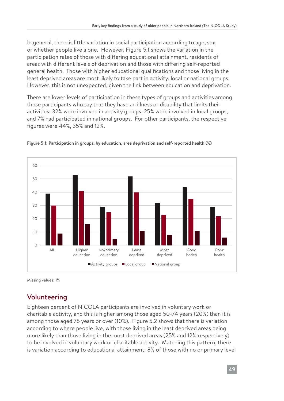In general, there is little variation in social participation according to age, sex, or whether people live alone. However, Figure 5.1 shows the variation in the participation rates of those with differing educational attainment, residents of areas with different levels of deprivation and those with differing self-reported general health. Those with higher educational qualifications and those living in the least deprived areas are most likely to take part in activity, local or national groups. However, this is not unexpected, given the link between education and deprivation.

There are lower levels of participation in these types of groups and activities among those participants who say that they have an illness or disability that limits their activities: 32% were involved in activity groups, 25% were involved in local groups, and 7% had participated in national groups. For other participants, the respective figures were 44%, 35% and 12%.





Missing values: 1%

## Volunteering

Eighteen percent of NICOLA participants are involved in voluntary work or charitable activity, and this is higher among those aged 50-74 years (20%) than it is among those aged 75 years or over (10%). Figure 5.2 shows that there is variation according to where people live, with those living in the least deprived areas being more likely than those living in the most deprived areas (25% and 12% respectively) to be involved in voluntary work or charitable activity. Matching this pattern, there is variation according to educational attainment: 8% of those with no or primary level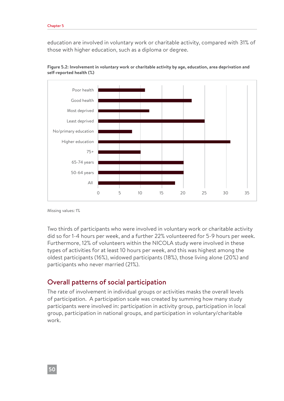education are involved in voluntary work or charitable activity, compared with 31% of those with higher education, such as a diploma or degree.



**Figure 5.2: Involvement in voluntary work or charitable activity by age, education, area deprivation and self-reported health (%)**

Missing values: 1%

Two thirds of participants who were involved in voluntary work or charitable activity did so for 1-4 hours per week, and a further 22% volunteered for 5-9 hours per week. Furthermore, 12% of volunteers within the NICOLA study were involved in these types of activities for at least 10 hours per week, and this was highest among the oldest participants (16%), widowed participants (18%), those living alone (20%) and participants who never married (21%).

#### Overall patterns of social participation

The rate of involvement in individual groups or activities masks the overall levels of participation. A participation scale was created by summing how many study participants were involved in: participation in activity group, participation in local group, participation in national groups, and participation in voluntary/charitable work.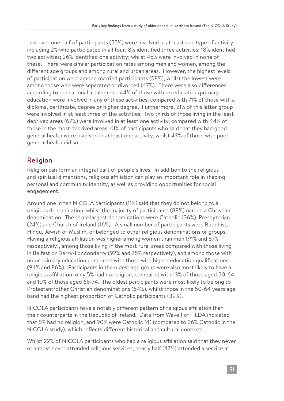Just over one half of participants (55%) were involved in at least one type of activity, including 2% who participated in all four; 8% identified three activities; 18% identified two activities; 26% identified one activity; whilst 45% were involved in none of these. There were similar participation rates among men and women, among the different age groups and among rural and urban areas. However, the highest levels of participation were among married participants (58%), whilst the lowest were among those who were separated or divorced (47%). There were also differences according to educational attainment: 44% of those with no education/primary education were involved in any of these activities, compared with 71% of those with a diploma, certificate, degree or higher degree. Furthermore, 21% of this latter group were involved in at least three of the activities. Two thirds of those living in the least deprived areas (67%) were involved in at least one activity, compared with 44% of those in the most deprived areas; 61% of participants who said that they had good general health were involved in at least one activity, whilst 43% of those with poor general health did so.

## Religion

Religion can form an integral part of people's lives. In addition to the religious and spiritual dimensions, religious affiliation can play an important role in shaping personal and community identity, as well as providing opportunities for social engagement.

Around one in ten NICOLA participants (11%) said that they do not belong to a religious denomination, whilst the majority of participants (88%) named a Christian denomination. The three largest denominations were Catholic (36%), Presbyterian (24%) and Church of Ireland (16%). A small number of participants were Buddhist, Hindu, Jewish or Muslim, or belonged to other religious denominations or groups. Having a religious affiliation was higher among women than men (91% and 87% respectively), among those living in the most rural areas compared with those living in Belfast or Derry/Londonderry (92% and 75% respectively), and among those with no or primary education compared with those with higher education qualifications (94% and 86%). Participants in the oldest age group were also most likely to have a religious affiliation: only 5% had no religion, compared with 13% of those aged 50-64 and 10% of those aged 65-74. The oldest participants were most likely to belong to Protestant/other Christian denominations (64%), whilst those in the 50-64 years age band had the highest proportion of Catholic participants (39%).

NICOLA participants have a notably different pattern of religious affiliation than their counterparts in the Republic of Ireland. Data from Wave 1 of TILDA indicated that 5% had no religion, and 90% were Catholic (4) (compared to 36% Catholic in the NICOLA study), which reflects different historical and cultural contexts.

Whilst 22% of NICOLA participants who had a religious affiliation said that they never or almost never attended religious services, nearly half (47%) attended a service at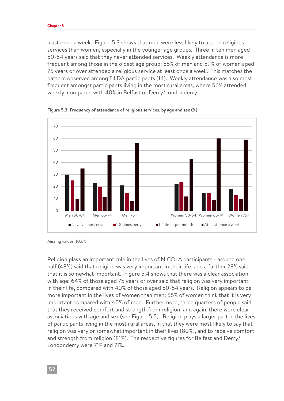least once a week. Figure 5.3 shows that men were less likely to attend religious services than women, especially in the younger age groups. Three in ten men aged 50-64 years said that they never attended services. Weekly attendance is more frequent among those in the oldest age group: 56% of men and 59% of women aged 75 years or over attended a religious service at least once a week. This matches the pattern observed among TILDA participants (14). Weekly attendance was also most frequent amongst participants living in the most rural areas, where 56% attended weekly, compared with 40% in Belfast or Derry/Londonderry.



**Figure 5.3: Frequency of attendance of religious services, by age and sex (%)**

Religion plays an important role in the lives of NICOLA participants - around one half (48%) said that religion was very important in their life, and a further 28% said that it is somewhat important. Figure 5.4 shows that there was a clear association with age: 64% of those aged 75 years or over said that religion was very important in their life, compared with 40% of those aged 50-64 years. Religion appears to be more important in the lives of women than men: 55% of women think that it is very important compared with 40% of men. Furthermore, three quarters of people said that they received comfort and strength from religion, and again, there were clear associations with age and sex (see Figure 5.5). Religion plays a larger part in the lives of participants living in the most rural areas, in that they were most likely to say that religion was very or somewhat important in their lives (80%), and to receive comfort and strength from religion (81%). The respective figures for Belfast and Derry/ Londonderry were 71% and 71%.

Missing values: 10.6%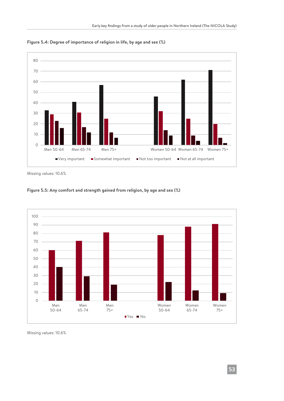

**Figure 5.4: Degree of importance of religion in life, by age and sex (%)**

Missing values: 10.6%





Missing values: 10.6%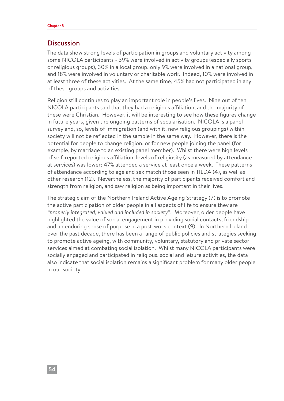#### **Discussion**

The data show strong levels of participation in groups and voluntary activity among some NICOLA participants - 39% were involved in activity groups (especially sports or religious groups), 30% in a local group, only 9% were involved in a national group, and 18% were involved in voluntary or charitable work. Indeed, 10% were involved in at least three of these activities. At the same time, 45% had not participated in any of these groups and activities.

Religion still continues to play an important role in people's lives. Nine out of ten NICOLA participants said that they had a religious affiliation, and the majority of these were Christian. However, it will be interesting to see how these figures change in future years, given the ongoing patterns of secularisation. NICOLA is a panel survey and, so, levels of immigration (and with it, new religious groupings) within society will not be reflected in the sample in the same way. However, there is the potential for people to change religion, or for new people joining the panel (for example, by marriage to an existing panel member). Whilst there were high levels of self-reported religious affiliation, levels of religiosity (as measured by attendance at services) was lower: 47% attended a service at least once a week. These patterns of attendance according to age and sex match those seen in TILDA (4), as well as other research (12). Nevertheless, the majority of participants received comfort and strength from religion, and saw religion as being important in their lives.

The strategic aim of the Northern Ireland Active Ageing Strategy (7) is to promote the active participation of older people in all aspects of life to ensure they are *"properly integrated, valued and included in society"*. Moreover, older people have highlighted the value of social engagement in providing social contacts, friendship and an enduring sense of purpose in a post-work context (9). In Northern Ireland over the past decade, there has been a range of public policies and strategies seeking to promote active ageing, with community, voluntary, statutory and private sector services aimed at combating social isolation. Whilst many NICOLA participants were socially engaged and participated in religious, social and leisure activities, the data also indicate that social isolation remains a significant problem for many older people in our society.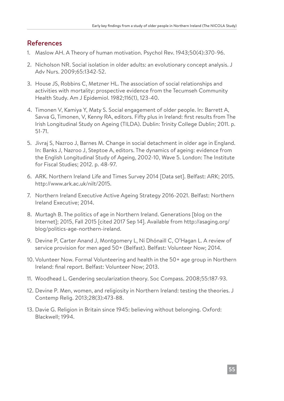#### References

- 1. Maslow AH. A Theory of human motivation. Psychol Rev. 1943;50(4):370-96.
- 2. Nicholson NR. Social isolation in older adults: an evolutionary concept analysis. J Adv Nurs. 2009;65:1342-52.
- 3. House JS, Robbins C, Metzner HL. The association of social relationships and activities with mortality: prospective evidence from the Tecumseh Community Health Study. Am J Epidemiol. 1982;116(1), 123-40.
- 4. Timonen V, Kamiya Y, Maty S. Social engagement of older people. In: Barrett A, Savva G, Timonen, V, Kenny RA, editors. Fifty plus in Ireland: first results from The Irish Longitudinal Study on Ageing (TILDA). Dublin: Trinity College Dublin; 2011. p. 51-71.
- 5. Jivraj S, Nazroo J, Barnes M. Change in social detachment in older age in England. In: Banks J, Nazroo J, Steptoe A, editors. The dynamics of ageing: evidence from the English Longitudinal Study of Ageing, 2002-10, Wave 5. London: The Institute for Fiscal Studies; 2012. p. 48-97.
- 6. ARK. Northern Ireland Life and Times Survey 2014 [Data set]. Belfast: ARK; 2015. http://www.ark.ac.uk/nilt/2015.
- 7. Northern Ireland Executive Active Ageing Strategy 2016-2021. Belfast: Northern Ireland Executive; 2014.
- 8. Murtagh B. The politics of age in Northern Ireland. Generations [blog on the Internet]; 2015, Fall 2015 [cited 2017 Sep 14]. Available from http://asaging.org/ blog/politics-age-northern-ireland.
- 9. Devine P, Carter Anand J, Montgomery L, Ní Dhónaill C, O'Hagan L. A review of service provision for men aged 50+ (Belfast). Belfast: Volunteer Now; 2014.
- 10. Volunteer Now. Formal Volunteering and health in the 50+ age group in Northern Ireland: final report. Belfast: Volunteer Now; 2013.
- 11. Woodhead L. Gendering secularization theory. Soc Compass. 2008;55:187-93.
- 12. Devine P. Men, women, and religiosity in Northern Ireland: testing the theories. J Contemp Relig. 2013;28(3):473-88.
- 13. Davie G. Religion in Britain since 1945: believing without belonging. Oxford: Blackwell; 1994.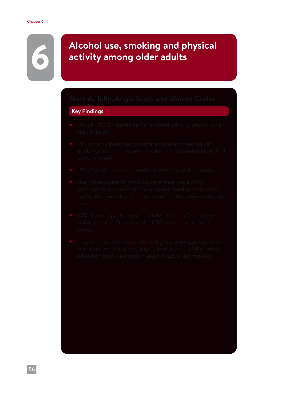# 6 **Alcohol use, smoking and physical activity among older adults**

#### **Key Findings**

- 
- 
- 
- 
- 
-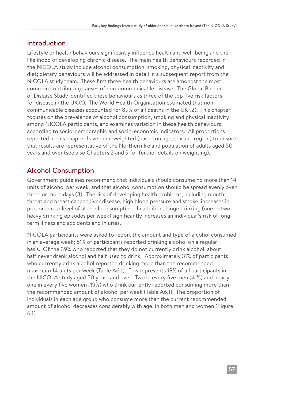#### Introduction

Lifestyle or health behaviours significantly influence health and well-being and the likelihood of developing chronic disease. The main health behaviours recorded in the NICOLA study include alcohol consumption, smoking, physical inactivity and diet; dietary behaviours will be addressed in detail in a subsequent report from the NICOLA study team. These first three health behaviours are amongst the most common contributing causes of non-communicable disease. The Global Burden of Disease Study identified these behaviours as three of the top five risk factors for disease in the UK (1). The World Health Organisation estimated that noncommunicable diseases accounted for 89% of all deaths in the UK (2). This chapter focuses on the prevalence of alcohol consumption, smoking and physical inactivity among NICOLA participants, and examines variation in these health behaviours according to socio-demographic and socio-economic indicators. All proportions reported in this chapter have been weighted (based on age, sex and region) to ensure that results are representative of the Northern Ireland population of adults aged 50 years and over (see also Chapters 2 and 9 for further details on weighting).

## Alcohol Consumption

Government guidelines recommend that individuals should consume no more than 14 units of alcohol per week, and that alcohol consumption should be spread evenly over three or more days (3). The risk of developing health problems, including mouth, throat and breast cancer, liver disease, high blood pressure and stroke, increases in proportion to level of alcohol consumption. In addition, binge drinking (one or two heavy drinking episodes per week) significantly increases an individual's risk of longterm illness and accidents and injuries.

NICOLA participants were asked to report the amount and type of alcohol consumed in an average week; 61% of participants reported drinking alcohol on a regular basis. Of the 39% who reported that they do not currently drink alcohol, about half never drank alcohol and half used to drink. Approximately 31% of participants who currently drink alcohol reported drinking more than the recommended maximum 14 units per week (Table A6.1). This represents 18% of all participants in the NICOLA study aged 50 years and over. Two in every five men (41%) and nearly one in every five women (19%) who drink currently reported consuming more than the recommended amount of alcohol per week (Table A6.1). The proportion of individuals in each age group who consume more than the current recommended amount of alcohol decreases considerably with age, in both men and women (Figure 6.1).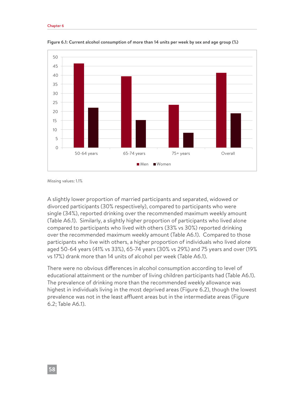

**Figure 6.1: Current alcohol consumption of more than 14 units per week by sex and age group (%)**

Missing values: 1.1%

A slightly lower proportion of married participants and separated, widowed or divorced participants (30% respectively), compared to participants who were single (34%), reported drinking over the recommended maximum weekly amount (Table A6.1). Similarly, a slightly higher proportion of participants who lived alone compared to participants who lived with others (33% vs 30%) reported drinking over the recommended maximum weekly amount (Table A6.1). Compared to those participants who live with others, a higher proportion of individuals who lived alone aged 50-64 years (41% vs 33%), 65-74 years (30% vs 29%) and 75 years and over (19% vs 17%) drank more than 14 units of alcohol per week (Table A6.1).

There were no obvious differences in alcohol consumption according to level of educational attainment or the number of living children participants had (Table A6.1). The prevalence of drinking more than the recommended weekly allowance was highest in individuals living in the most deprived areas (Figure 6.2), though the lowest prevalence was not in the least affluent areas but in the intermediate areas (Figure 6.2; Table A6.1).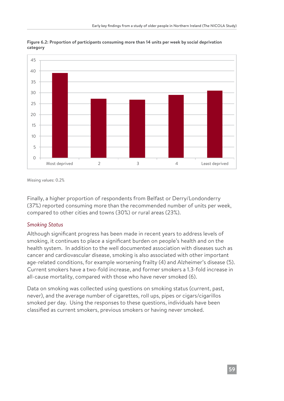

**Figure 6.2: Proportion of participants consuming more than 14 units per week by social deprivation category**

Missing values: 0.2%

Finally, a higher proportion of respondents from Belfast or Derry/Londonderry (37%) reported consuming more than the recommended number of units per week, compared to other cities and towns (30%) or rural areas (23%).

#### *Smoking Status*

Although significant progress has been made in recent years to address levels of smoking, it continues to place a significant burden on people's health and on the health system. In addition to the well documented association with diseases such as cancer and cardiovascular disease, smoking is also associated with other important age-related conditions, for example worsening frailty (4) and Alzheimer's disease (5). Current smokers have a two-fold increase, and former smokers a 1.3-fold increase in all-cause mortality, compared with those who have never smoked (6).

Data on smoking was collected using questions on smoking status (current, past, never), and the average number of cigarettes, roll ups, pipes or cigars/cigarillos smoked per day. Using the responses to these questions, individuals have been classified as current smokers, previous smokers or having never smoked.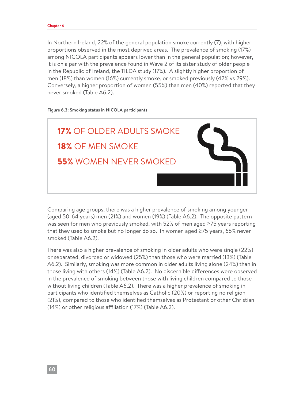In Northern Ireland, 22% of the general population smoke currently (7), with higher proportions observed in the most deprived areas. The prevalence of smoking (17%) among NICOLA participants appears lower than in the general population; however, it is on a par with the prevalence found in Wave 2 of its sister study of older people in the Republic of Ireland, the TILDA study (17%). A slightly higher proportion of men (18%) than women (16%) currently smoke, or smoked previously (42% vs 29%). Conversely, a higher proportion of women (55%) than men (40%) reported that they never smoked (Table A6.2).

#### **Figure 6.3: Smoking status in NICOLA participants**



Comparing age groups, there was a higher prevalence of smoking among younger (aged 50-64 years) men (21%) and women (19%) (Table A6.2). The opposite pattern was seen for men who previously smoked, with 52% of men aged ≥75 years reporting that they used to smoke but no longer do so. In women aged ≥75 years, 65% never smoked (Table A6.2).

There was also a higher prevalence of smoking in older adults who were single (22%) or separated, divorced or widowed (25%) than those who were married (13%) (Table A6.2). Similarly, smoking was more common in older adults living alone (24%) than in those living with others (14%) (Table A6.2). No discernible differences were observed in the prevalence of smoking between those with living children compared to those without living children (Table A6.2). There was a higher prevalence of smoking in participants who identified themselves as Catholic (20%) or reporting no religion (21%), compared to those who identified themselves as Protestant or other Christian (14%) or other religious affiliation (17%) (Table A6.2).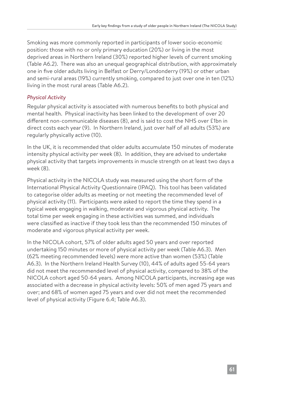Smoking was more commonly reported in participants of lower socio-economic position: those with no or only primary education (20%) or living in the most deprived areas in Northern Ireland (30%) reported higher levels of current smoking (Table A6.2). There was also an unequal geographical distribution, with approximately one in five older adults living in Belfast or Derry/Londonderry (19%) or other urban and semi-rural areas (19%) currently smoking, compared to just over one in ten (12%) living in the most rural areas (Table A6.2).

#### *Physical Activity*

Regular physical activity is associated with numerous benefits to both physical and mental health. Physical inactivity has been linked to the development of over 20 different non-communicable diseases (8), and is said to cost the NHS over £1bn in direct costs each year (9). In Northern Ireland, just over half of all adults (53%) are regularly physically active (10).

In the UK, it is recommended that older adults accumulate 150 minutes of moderate intensity physical activity per week (8). In addition, they are advised to undertake physical activity that targets improvements in muscle strength on at least two days a week (8).

Physical activity in the NICOLA study was measured using the short form of the International Physical Activity Questionnaire (IPAQ). This tool has been validated to categorise older adults as meeting or not meeting the recommended level of physical activity (11). Participants were asked to report the time they spend in a typical week engaging in walking, moderate and vigorous physical activity. The total time per week engaging in these activities was summed, and individuals were classified as inactive if they took less than the recommended 150 minutes of moderate and vigorous physical activity per week.

In the NICOLA cohort, 57% of older adults aged 50 years and over reported undertaking 150 minutes or more of physical activity per week (Table A6.3). Men (62% meeting recommended levels) were more active than women (53%) (Table A6.3). In the Northern Ireland Health Survey (10), 44% of adults aged 55-64 years did not meet the recommended level of physical activity, compared to 38% of the NICOLA cohort aged 50-64 years. Among NICOLA participants, increasing age was associated with a decrease in physical activity levels: 50% of men aged 75 years and over; and 68% of women aged 75 years and over did not meet the recommended level of physical activity (Figure 6.4; Table A6.3).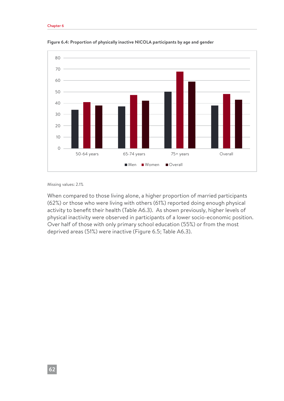#### Chapter 6



**Figure 6.4: Proportion of physically inactive NICOLA participants by age and gender**

#### Missing values: 2.1%

When compared to those living alone, a higher proportion of married participants (62%) or those who were living with others (61%) reported doing enough physical activity to benefit their health (Table A6.3). As shown previously, higher levels of physical inactivity were observed in participants of a lower socio-economic position. Over half of those with only primary school education (55%) or from the most deprived areas (51%) were inactive (Figure 6.5; Table A6.3).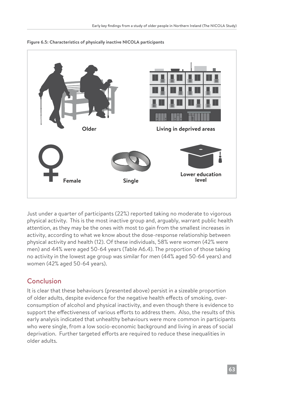

#### **Figure 6.5: Characteristics of physically inactive NICOLA participants**

Just under a quarter of participants (22%) reported taking no moderate to vigorous physical activity. This is the most inactive group and, arguably, warrant public health attention, as they may be the ones with most to gain from the smallest increases in activity, according to what we know about the dose-response relationship between physical activity and health (12). Of these individuals, 58% were women (42% were men) and 44% were aged 50-64 years (Table A6.4). The proportion of those taking no activity in the lowest age group was similar for men (44% aged 50-64 years) and women (42% aged 50-64 years).

#### Conclusion

It is clear that these behaviours (presented above) persist in a sizeable proportion of older adults, despite evidence for the negative health effects of smoking, overconsumption of alcohol and physical inactivity, and even though there is evidence to support the effectiveness of various efforts to address them. Also, the results of this early analysis indicated that unhealthy behaviours were more common in participants who were single, from a low socio-economic background and living in areas of social deprivation. Further targeted efforts are required to reduce these inequalities in older adults.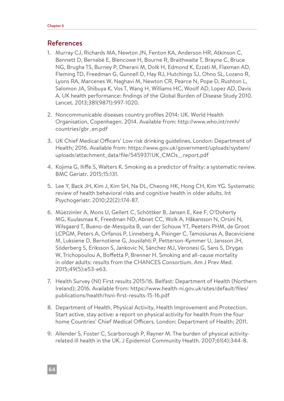#### References

- 1. Murray CJ, Richards MA, Newton JN, Fenton KA, Anderson HR, Atkinson C, Bennett D, Bernabé E, Blencowe H, Bourne R, Braithwaite T, Brayne C, Bruce NG, Brugha TS, Burney P, Dherani M, Dolk H, Edmond K, Ezzati M, Flaxman AD, Fleming TD, Freedman G, Gunnell D, Hay RJ, Hutchings SJ, Ohno SL, Lozano R, Lyons RA, Marcenes W, Naghavi M, Newton CR, Pearce N, Pope D, Rushton L, Salomon JA, Shibuya K, Vos T, Wang H, Williams HC, Woolf AD, Lopez AD, Davis A. UK health performance: findings of the Global Burden of Disease Study 2010. Lancet. 2013;381(9871):997-1020.
- 2. Noncommunicable diseases country profiles 2014: UK. World Health Organisation, Copenhagen. 2014. Available from: http://www.who.int/nmh/ countries/gbr\_en.pdf
- 3. UK Chief Medical Officers' Low risk drinking guidelines. London: Department of Health; 2016. Available from: https://www.gov.uk/government/uploads/system/ uploads/attachment\_data/file/545937/UK\_CMOs\_\_report.pdf
- 4. Kojima G, Iliffe S, Walters K. Smoking as a predictor of frailty: a systematic review. BMC Geriatr. 2015;15:131.
- 5. Lee Y, Back JH, Kim J, Kim SH, Na DL, Cheong HK, Hong CH, Kim YG. Systematic review of health behavioral risks and cognitive health in older adults. Int Psychogeriatr. 2010;22(2):174-87.
- 6. Müezzinler A, Mons U, Gellert C, Schöttker B, Jansen E, Kee F, O'Doherty MG, Kuulasmaa K, Freedman ND, Abnet CC, Wolk A, Håkansson N, Orsini N, Wilsgaard T, Bueno-de-Mesquita B, van der Schouw YT, Peeters PHM, de Groot LCPGM, Peters A, Orfanos P, Linneberg A, Pisinger C, Tamosiunas A, Baceviciene M, Luksiene D, Bernotiene G, Jousilahti P, Petterson-Kymmer U, Jansson JH, Söderberg S, Eriksson S, Jankovic N, Sánchez MJ, Veronesi G, Sans S, Drygas W, Trichopoulou A, Boffetta P, Brenner H. Smoking and all-cause mortality in older adults: results from the CHANCES Consortium. Am J Prev Med. 2015;49(5):e53-e63.
- 7. Health Survey (NI) First results 2015/16. Belfast: Department of Health (Northern Ireland); 2016. Available from: https://www.health-ni.gov.uk/sites/default/files/ publications/health/hsni-first-results-15-16.pdf
- 8. Department of Health, Physical Activity, Health Improvement and Protection. Start active, stay active: a report on physical activity for health from the four home Countries' Chief Medical Officers. London: Department of Health; 2011.
- 9. Allender S, Foster C, Scarborough P, Rayner M. The burden of physical activityrelated ill health in the UK. J Epidemiol Community Health. 2007;61(4):344-8.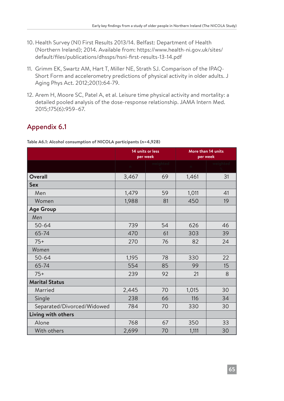- 10. Health Survey (NI) First Results 2013/14. Belfast: Department of Health (Northern Ireland); 2014. Available from: https://www.health-ni.gov.uk/sites/ default/files/publications/dhssps/hsni-first-results-13-14.pdf
- 11. Grimm EK, Swartz AM, Hart T, Miller NE, Strath SJ. Comparison of the IPAQ-Short Form and accelerometry predictions of physical activity in older adults. J Aging Phys Act. 2012;20(1):64-79.
- 12. Arem H, Moore SC, Patel A, et al. Leisure time physical activity and mortality: a detailed pooled analysis of the dose-response relationship. JAMA Intern Med. 2015;175(6):959–67.

## Appendix 6.1

**Table A6.1: Alcohol consumption of NICOLA participants (n=4,928)**

|                            | 14 units or less | per week |       | More than 14 units<br>per week |
|----------------------------|------------------|----------|-------|--------------------------------|
|                            | n.               | weighted | n     | weighted                       |
| <b>Overall</b>             | 3,467            | 69       | 1,461 | 31                             |
| <b>Sex</b>                 |                  |          |       |                                |
| Men                        | 1,479            | 59       | 1,011 | 41                             |
| Women                      | 1,988            | 81       | 450   | 19                             |
| <b>Age Group</b>           |                  |          |       |                                |
| Men                        |                  |          |       |                                |
| $50 - 64$                  | 739              | 54       | 626   | 46                             |
| 65-74                      | 470              | 61       | 303   | 39                             |
| $75+$                      | 270              | 76       | 82    | 24                             |
| Women                      |                  |          |       |                                |
| $50 - 64$                  | 1,195            | 78       | 330   | 22                             |
| 65-74                      | 554              | 85       | 99    | 15                             |
| $75+$                      | 239              | 92       | 21    | 8                              |
| <b>Marital Status</b>      |                  |          |       |                                |
| Married                    | 2,445            | 70       | 1,015 | 30                             |
| Single                     | 238              | 66       | 116   | 34                             |
| Separated/Divorced/Widowed | 784              | 70       | 330   | 30                             |
| Living with others         |                  |          |       |                                |
| Alone                      | 768              | 67       | 350   | 33                             |
| With others                | 2,699            | 70       | 1,111 | 30                             |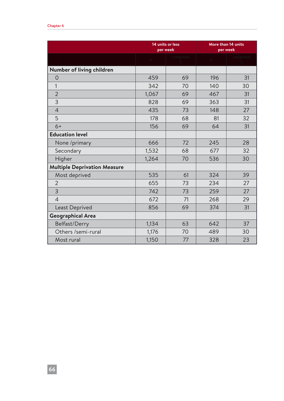#### Chapter 6

|                                     | 14 units or less | per week | More than 14 units<br>per week |          |
|-------------------------------------|------------------|----------|--------------------------------|----------|
|                                     | n                | weighted | $\mathbbm{m}$                  | weighted |
| Number of living children           |                  |          |                                |          |
| $\overline{O}$                      | 459              | 69       | 196                            | 31       |
| $\mathbf{1}$                        | 342              | 70       | 140                            | 30       |
| $\overline{2}$                      | 1,067            | 69       | 467                            | 31       |
| 3                                   | 828              | 69       | 363                            | 31       |
| $\overline{4}$                      | 435              | 73       | 148                            | 27       |
| 5                                   | 178              | 68       | 81                             | 32       |
| $6+$                                | 156              | 69       | 64                             | 31       |
| <b>Education level</b>              |                  |          |                                |          |
| None /primary                       | 666              | 72       | 245                            | 28       |
| Secondary                           | 1,532            | 68       | 677                            | 32       |
| Higher                              | 1,264            | 70       | 536                            | 30       |
| <b>Multiple Deprivation Measure</b> |                  |          |                                |          |
| Most deprived                       | 535              | 61       | 324                            | 39       |
| $\overline{2}$                      | 655              | 73       | 234                            | 27       |
| 3                                   | 742              | 73       | 259                            | 27       |
| $\overline{4}$                      | 672              | 71       | 268                            | 29       |
| Least Deprived                      | 856              | 69       | 374                            | 31       |
| <b>Geographical Area</b>            |                  |          |                                |          |
| Belfast/Derry                       | 1,134            | 63       | 642                            | 37       |
| Others /semi-rural                  | 1,176            | 70       | 489                            | 30       |
| Most rural                          | 1,150            | 77       | 328                            | 23       |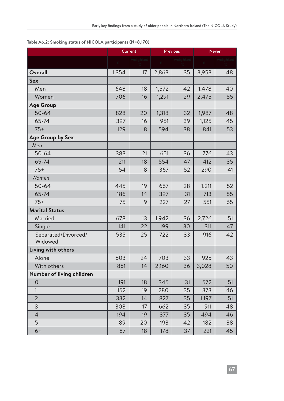|                                |       | <b>Current</b> | <b>Previous</b> |          | <b>Never</b> |    |
|--------------------------------|-------|----------------|-----------------|----------|--------------|----|
|                                |       | weightec       |                 | weighted |              |    |
| <b>Overall</b>                 | 1,354 | 17             | 2,863           | 35       | 3,953        | 48 |
| <b>Sex</b>                     |       |                |                 |          |              |    |
| Men                            | 648   | 18             | 1,572           | 42       | 1,478        | 40 |
| Women                          | 706   | 16             | 1,291           | 29       | 2,475        | 55 |
| <b>Age Group</b>               |       |                |                 |          |              |    |
| $50 - 64$                      | 828   | 20             | 1,318           | 32       | 1,987        | 48 |
| 65-74                          | 397   | 16             | 951             | 39       | 1,125        | 45 |
| $75+$                          | 129   | 8              | 594             | 38       | 841          | 53 |
| Age Group by Sex               |       |                |                 |          |              |    |
| Men                            |       |                |                 |          |              |    |
| $50 - 64$                      | 383   | 21             | 651             | 36       | 776          | 43 |
| 65-74                          | 211   | 18             | 554             | 47       | 412          | 35 |
| $75+$                          | 54    | 8              | 367             | 52       | 290          | 41 |
| Women                          |       |                |                 |          |              |    |
| $50 - 64$                      | 445   | 19             | 667             | 28       | 1,211        | 52 |
| 65-74                          | 186   | 14             | 397             | 31       | 713          | 55 |
| $75+$                          | 75    | 9              | 227             | 27       | 551          | 65 |
| <b>Marital Status</b>          |       |                |                 |          |              |    |
| Married                        | 678   | 13             | 1,942           | 36       | 2,726        | 51 |
| Single                         | 141   | 22             | 199             | 30       | 311          | 47 |
| Separated/Divorced/<br>Widowed | 535   | 25             | 722             | 33       | 916          | 42 |
| Living with others             |       |                |                 |          |              |    |
| Alone                          | 503   | 24             | 703             | 33       | 925          | 43 |
| With others                    | 851   | 14             | 2,160           | 36       | 3,028        | 50 |
| Number of living children      |       |                |                 |          |              |    |
| $\overline{O}$                 | 191   | 18             | 345             | 31       | 572          | 51 |
| 1                              | 152   | 19             | 280             | 35       | 373          | 46 |
| $\overline{2}$                 | 332   | 14             | 827             | 35       | 1,197        | 51 |
| 3                              | 308   | 17             | 662             | 35       | 911          | 48 |
| $\overline{4}$                 | 194   | 19             | 377             | 35       | 494          | 46 |
| 5                              | 89    | 20             | 193             | 42       | 182          | 38 |
| $6+$                           | 87    | 18             | 178             | 37       | 221          | 45 |

#### **Table A6.2: Smoking status of NICOLA participants (N=8,170)**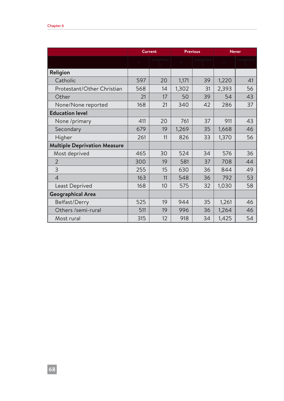|                                     | <b>Current</b> |    | <b>Previous</b> |          | <b>Never</b> |    |
|-------------------------------------|----------------|----|-----------------|----------|--------------|----|
|                                     | $\sqrt{2}$     |    |                 | weiahtec |              |    |
| Religion                            |                |    |                 |          |              |    |
| Catholic                            | 597            | 20 | 1,171           | 39       | 1,220        | 41 |
| Protestant/Other Christian          | 568            | 14 | 1,302           | 31       | 2,393        | 56 |
| Other                               | 21             | 17 | 50              | 39       | 54           | 43 |
| None/None reported                  | 168            | 21 | 340             | 42       | 286          | 37 |
| <b>Education level</b>              |                |    |                 |          |              |    |
| None /primary                       | 411            | 20 | 761             | 37       | 911          | 43 |
| Secondary                           | 679            | 19 | 1,269           | 35       | 1,668        | 46 |
| Higher                              | 261            | 11 | 826             | 33       | 1,370        | 56 |
| <b>Multiple Deprivation Measure</b> |                |    |                 |          |              |    |
| Most deprived                       | 465            | 30 | 524             | 34       | 576          | 36 |
| $\overline{2}$                      | 300            | 19 | 581             | 37       | 708          | 44 |
| 3                                   | 255            | 15 | 630             | 36       | 844          | 49 |
| $\overline{4}$                      | 163            | 11 | 548             | 36       | 792          | 53 |
| Least Deprived                      | 168            | 10 | 575             | 32       | 1,030        | 58 |
| <b>Geographical Area</b>            |                |    |                 |          |              |    |
| Belfast/Derry                       | 525            | 19 | 944             | 35       | 1,261        | 46 |
| Others /semi-rural                  | 511            | 19 | 996             | 36       | 1,264        | 46 |
| Most rural                          | 315            | 12 | 918             | 34       | 1,425        | 54 |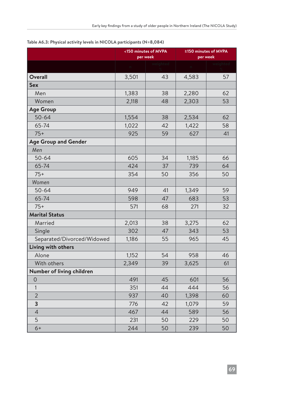|                             |          | <150 minutes of MVPA<br>per week | ≥150 minutes of MVPA<br>per week |          |  |
|-----------------------------|----------|----------------------------------|----------------------------------|----------|--|
|                             | $\Gamma$ | weighted                         | $\mathbbmss{m}$                  | weighted |  |
| <b>Overall</b>              | 3,501    | 43                               | 4,583                            | 57       |  |
| <b>Sex</b>                  |          |                                  |                                  |          |  |
| Men                         | 1,383    | 38                               | 2,280                            | 62       |  |
| Women                       | 2,118    | 48                               | 2,303                            | 53       |  |
| <b>Age Group</b>            |          |                                  |                                  |          |  |
| $50 - 64$                   | 1,554    | 38                               | 2,534                            | 62       |  |
| 65-74                       | 1,022    | 42                               | 1,422                            | 58       |  |
| $75+$                       | 925      | 59                               | 627                              | 41       |  |
| <b>Age Group and Gender</b> |          |                                  |                                  |          |  |
| Men                         |          |                                  |                                  |          |  |
| $50 - 64$                   | 605      | 34                               | 1,185                            | 66       |  |
| 65-74                       | 424      | 37                               | 739                              | 64       |  |
| $75+$                       | 354      | 50                               | 356                              | 50       |  |
| Women                       |          |                                  |                                  |          |  |
| $50 - 64$                   | 949      | 41                               | 1,349                            | 59       |  |
| 65-74                       | 598      | 47                               | 683                              | 53       |  |
| $75+$                       | 571      | 68                               | 271                              | 32       |  |
| <b>Marital Status</b>       |          |                                  |                                  |          |  |
| Married                     | 2,013    | 38                               | 3,275                            | 62       |  |
| Single                      | 302      | 47                               | 343                              | 53       |  |
| Separated/Divorced/Widowed  | 1,186    | 55                               | 965                              | 45       |  |
| Living with others          |          |                                  |                                  |          |  |
| Alone                       | 1,152    | 54                               | 958                              | 46       |  |
| With others                 | 2,349    | 39                               | 3,625                            | 61       |  |
| Number of living children   |          |                                  |                                  |          |  |
| 0                           | 491      | 45                               | 601                              | 56       |  |
| $\mathbf{1}$                | 351      | 44                               | 444                              | 56       |  |
| $\overline{2}$              | 937      | 40                               | 1,398                            | 60       |  |
| 3                           | 776      | 42                               | 1,079                            | 59       |  |
| $\overline{4}$              | 467      | 44                               | 589                              | 56       |  |
| 5                           | 231      | 50                               | 229                              | 50       |  |
| $6+$                        | 244      | 50                               | 239                              | 50       |  |

**Table A6.3: Physical activity levels in NICOLA participants (N=8,084)**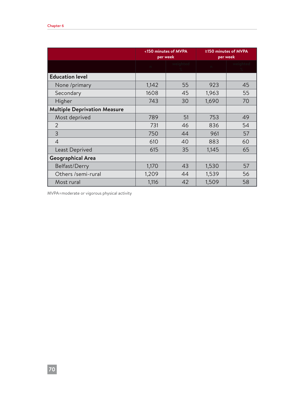|                                     |       | <150 minutes of MVPA<br>per week | ≥150 minutes of MVPA<br>per week |    |
|-------------------------------------|-------|----------------------------------|----------------------------------|----|
|                                     |       | weiahted                         | $\Gamma$                         |    |
| <b>Education level</b>              |       |                                  |                                  |    |
| None /primary                       | 1,142 | 55                               | 923                              | 45 |
| Secondary                           | 1608  | 45                               | 1,963                            | 55 |
| Higher                              | 743   | 30                               | 1,690                            | 70 |
| <b>Multiple Deprivation Measure</b> |       |                                  |                                  |    |
| Most deprived                       | 789   | 51                               | 753                              | 49 |
| $\overline{2}$                      | 731   | 46                               | 836                              | 54 |
| $\overline{3}$                      | 750   | 44                               | 961                              | 57 |
| $\overline{4}$                      | 610   | 40                               | 883                              | 60 |
| Least Deprived                      | 615   | 35                               | 1,145                            | 65 |
| <b>Geographical Area</b>            |       |                                  |                                  |    |
| Belfast/Derry                       | 1,170 | 43                               | 1,530                            | 57 |
| Others /semi-rural                  | 1,209 | 44                               | 1,539                            | 56 |
| Most rural                          | 1,116 | 42                               | 1,509                            | 58 |

MVPA=moderate or vigorous physical activity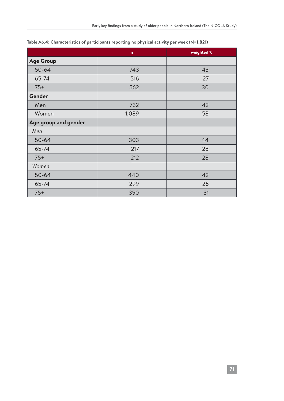|                      | $\mathsf{n}$ | weighted % |
|----------------------|--------------|------------|
| <b>Age Group</b>     |              |            |
| $50 - 64$            | 743          | 43         |
| 65-74                | 516          | 27         |
| $75+$                | 562          | 30         |
| Gender               |              |            |
| Men                  | 732          | 42         |
| Women                | 1,089        | 58         |
| Age group and gender |              |            |
| Men                  |              |            |
| $50 - 64$            | 303          | 44         |
| 65-74                | 217          | 28         |
| $75+$                | 212          | 28         |
| Women                |              |            |
| $50 - 64$            | 440          | 42         |
| 65-74                | 299          | 26         |
| $75+$                | 350          | 31         |

#### **Table A6.4: Characteristics of participants reporting no physical activity per week (N=1,821)**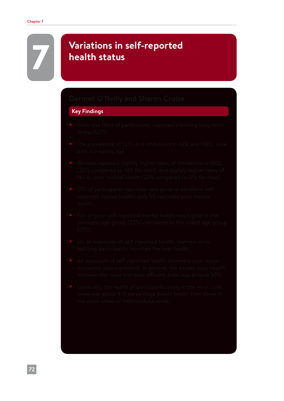# 7 **Variations in self-reported health status**

#### **Key Findings**

- 
- 
- 
- 
- 
- 
- 
-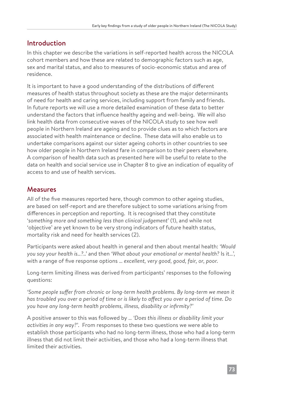# Introduction

In this chapter we describe the variations in self-reported health across the NICOLA cohort members and how these are related to demographic factors such as age, sex and marital status, and also to measures of socio-economic status and area of residence.

It is important to have a good understanding of the distributions of different measures of health status throughout society as these are the major determinants of need for health and caring services, including support from family and friends. In future reports we will use a more detailed examination of these data to better understand the factors that influence healthy ageing and well-being. We will also link health data from consecutive waves of the NICOLA study to see how well people in Northern Ireland are ageing and to provide clues as to which factors are associated with health maintenance or decline. These data will also enable us to undertake comparisons against our sister ageing cohorts in other countries to see how older people in Northern Ireland fare in comparison to their peers elsewhere. A comparison of health data such as presented here will be useful to relate to the data on health and social service use in Chapter 8 to give an indication of equality of access to and use of health services.

# Measures

All of the five measures reported here, though common to other ageing studies, are based on self-report and are therefore subject to some variations arising from differences in perception and reporting. It is recognised that they constitute '*something more and something less than clinical judgement*' (1), and while not 'objective' are yet known to be very strong indicators of future health status, mortality risk and need for health services (2).

Participants were asked about health in general and then about mental health: *'Would you say your health is…?..'* and then *'What about your emotional or mental health?* Is it…', with a range of five response options … *excellent, very good, good, fair, or, poor.*

Long-term limiting illness was derived from participants' responses to the following questions:

*'Some people suffer from chronic or long-term health problems. By long-term we mean it has troubled you over a period of time or is likely to affect you over a period of time. Do you have any long-term health problems, illness, disability or infirmity?'*

A positive answer to this was followed by … *'Does this illness or disability limit your activities in any way?'*. From responses to these two questions we were able to establish those participants who had no long-term illness, those who had a long-term illness that did not limit their activities, and those who had a long-term illness that limited their activities.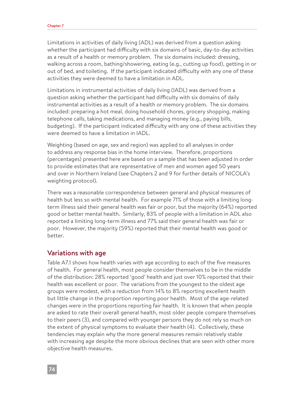Limitations in activities of daily living (ADL) was derived from a question asking whether the participant had difficulty with six domains of basic, day-to-day activities as a result of a health or memory problem. The six domains included: dressing, walking across a room, bathing/showering, eating (e.g., cutting up food), getting in or out of bed, and toileting. If the participant indicated difficulty with any one of these activities they were deemed to have a limitation in ADL.

Limitations in instrumental activities of daily living (IADL) was derived from a question asking whether the participant had difficulty with six domains of daily instrumental activities as a result of a health or memory problem. The six domains included: preparing a hot meal, doing household chores, grocery shopping, making telephone calls, taking medications, and managing money (e.g., paying bills, budgeting). If the participant indicated difficulty with any one of these activities they were deemed to have a limitation in IADL.

Weighting (based on age, sex and region) was applied to all analyses in order to address any response bias in the home interview. Therefore, proportions (percentages) presented here are based on a sample that has been adjusted in order to provide estimates that are representative of men and women aged 50 years and over in Northern Ireland (see Chapters 2 and 9 for further details of NICOLA's weighting protocol).

There was a reasonable correspondence between general and physical measures of health but less so with mental health. For example 71% of those with a limiting longterm illness said their general health was fair or poor, but the majority (64%) reported good or better mental health. Similarly, 83% of people with a limitation in ADL also reported a limiting long-term illness and 77% said their general health was fair or poor. However, the majority (59%) reported that their mental health was good or better.

#### Variations with age

Table A7.1 shows how health varies with age according to each of the five measures of health. For general health, most people consider themselves to be in the middle of the distribution: 28% reported 'good' health and just over 10% reported that their health was excellent or poor. The variations from the youngest to the oldest age groups were modest, with a reduction from 14% to 8% reporting excellent health but little change in the proportion reporting poor health. Most of the age-related changes were in the proportions reporting fair health. It is known that when people are asked to rate their overall general health, most older people compare themselves to their peers (3), and compared with younger persons they do not rely so much on the extent of physical symptoms to evaluate their health (4). Collectively, these tendencies may explain why the more general measures remain relatively stable with increasing age despite the more obvious declines that are seen with other more objective health measures.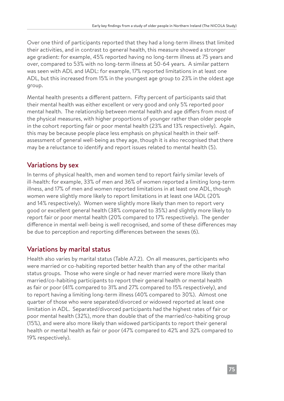Over one third of participants reported that they had a long-term illness that limited their activities, and in contrast to general health, this measure showed a stronger age gradient: for example, 45% reported having no long-term illness at 75 years and over, compared to 53% with no long-term illness at 50-64 years. A similar pattern was seen with ADL and IADL: for example, 17% reported limitations in at least one ADL, but this increased from 15% in the youngest age group to 23% in the oldest age group.

Mental health presents a different pattern. Fifty percent of participants said that their mental health was either excellent or very good and only 5% reported poor mental health. The relationship between mental health and age differs from most of the physical measures, with higher proportions of younger rather than older people in the cohort reporting fair or poor mental health (23% and 13% respectively). Again, this may be because people place less emphasis on physical health in their selfassessment of general well-being as they age, though it is also recognised that there may be a reluctance to identify and report issues related to mental health (5).

# Variations by sex

In terms of physical health, men and women tend to report fairly similar levels of ill-health: for example, 33% of men and 36% of women reported a limiting long-term illness, and 17% of men and women reported limitations in at least one ADL, though women were slightly more likely to report limitations in at least one IADL (20% and 14% respectively). Women were slightly more likely than men to report very good or excellent general health (38% compared to 35%) and slightly more likely to report fair or poor mental health (20% compared to 17% respectively). The gender difference in mental well-being is well recognised, and some of these differences may be due to perception and reporting differences between the sexes (6).

# Variations by marital status

Health also varies by marital status (Table A7.2). On all measures, participants who were married or co-habiting reported better health than any of the other marital status groups. Those who were single or had never married were more likely than married/co-habiting participants to report their general health or mental health as fair or poor (41% compared to 31% and 27% compared to 15% respectively), and to report having a limiting long-term illness (40% compared to 30%). Almost one quarter of those who were separated/divorced or widowed reported at least one limitation in ADL. Separated/divorced participants had the highest rates of fair or poor mental health (32%), more than double that of the married/co-habiting group (15%), and were also more likely than widowed participants to report their general health or mental health as fair or poor (47% compared to 42% and 32% compared to 19% respectively).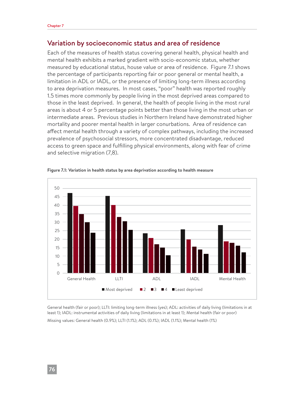#### Variation by socioeconomic status and area of residence

Each of the measures of health status covering general health, physical health and mental health exhibits a marked gradient with socio-economic status, whether measured by educational status, house value or area of residence. Figure 7.1 shows the percentage of participants reporting fair or poor general or mental health, a limitation in ADL or IADL, or the presence of limiting long-term illness according to area deprivation measures. In most cases, "poor" health was reported roughly 1.5 times more commonly by people living in the most deprived areas compared to those in the least deprived. In general, the health of people living in the most rural areas is about 4 or 5 percentage points better than those living in the most urban or intermediate areas. Previous studies in Northern Ireland have demonstrated higher mortality and poorer mental health in larger conurbations. Area of residence can affect mental health through a variety of complex pathways, including the increased prevalence of psychosocial stressors, more concentrated disadvantage, reduced access to green space and fulfilling physical environments, along with fear of crime and selective migration (7,8).



**Figure 7.1: Variation in health status by area deprivation according to health measure**

General health (fair or poor); LLTI: limiting long-term illness (yes); ADL: activities of daily living (limitations in at least 1); IADL: instrumental activities of daily living (limitations in at least 1); Mental health (fair or poor) Missing values: General health (0.9%); LLTI (1.1%); ADL (0.1%); IADL (1.1%); Mental health (1%)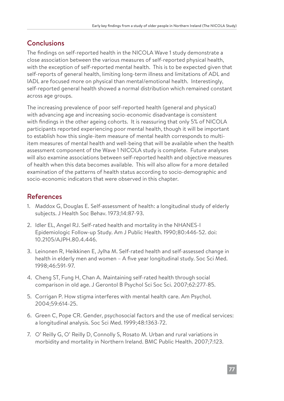# **Conclusions**

The findings on self-reported health in the NICOLA Wave 1 study demonstrate a close association between the various measures of self-reported physical health, with the exception of self-reported mental health. This is to be expected given that self-reports of general health, limiting long-term illness and limitations of ADL and IADL are focused more on physical than mental/emotional health. Interestingly, self-reported general health showed a normal distribution which remained constant across age groups.

The increasing prevalence of poor self-reported health (general and physical) with advancing age and increasing socio-economic disadvantage is consistent with findings in the other ageing cohorts. It is reassuring that only 5% of NICOLA participants reported experiencing poor mental health, though it will be important to establish how this single-item measure of mental health corresponds to multiitem measures of mental health and well-being that will be available when the health assessment component of the Wave 1 NICOLA study is complete. Future analyses will also examine associations between self-reported health and objective measures of health when this data becomes available. This will also allow for a more detailed examination of the patterns of health status according to socio-demographic and socio-economic indicators that were observed in this chapter.

# References

- 1. Maddox G, Douglas E. Self-assessment of health: a longitudinal study of elderly subjects. J Health Soc Behav. 1973;14:87-93.
- 2. Idler EL, Angel RJ. Self-rated health and mortality in the NHANES-I Epidemiologic Follow-up Study. Am J Public Health. 1990;80:446-52. doi: 10.2105/AJPH.80.4.446.
- 3. Leinonen R, Heikkinen E, Jylha M. Self-rated health and self-assessed change in health in elderly men and women – A five year longitudinal study. Soc Sci Med. 1998;46:591-97.
- 4. Cheng ST, Fung H, Chan A. Maintaining self-rated health through social comparison in old age. J Gerontol B Psychol Sci Soc Sci. 2007;62:277-85.
- 5. Corrigan P. How stigma interferes with mental health care. Am Psychol. 2004;59:614-25.
- 6. Green C, Pope CR. Gender, psychosocial factors and the use of medical services: a longitudinal analysis. Soc Sci Med. 1999;48:1363-72.
- 7. O' Reilly G, O' Reilly D, Connolly S, Rosato M. Urban and rural variations in morbidity and mortality in Northern Ireland. BMC Public Health. 2007;7:123.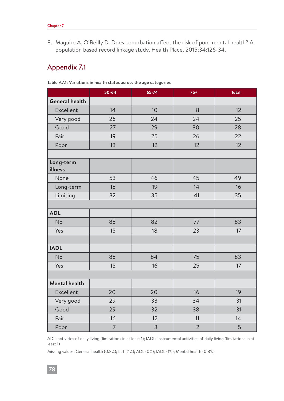8. Maguire A, O'Reilly D. Does conurbation affect the risk of poor mental health? A population based record linkage study. Health Place. 2015;34:126-34.

# Appendix 7.1

|                       | 50-64          | 65-74           | $75+$          | <b>Total</b> |
|-----------------------|----------------|-----------------|----------------|--------------|
| <b>General health</b> |                |                 |                |              |
| Excellent             | 14             | 10 <sup>1</sup> | 8              | 12           |
| Very good             | 26             | 24              | 24             | 25           |
| Good                  | 27             | 29              | 30             | 28           |
| Fair                  | 19             | 25              | 26             | 22           |
| Poor                  | 13             | 12              | 12             | 12           |
|                       |                |                 |                |              |
| Long-term<br>illness  |                |                 |                |              |
| None                  | 53             | 46              | 45             | 49           |
| Long-term             | 15             | 19              | 14             | 16           |
| Limiting              | 32             | 35              | 41             | 35           |
|                       |                |                 |                |              |
| <b>ADL</b>            |                |                 |                |              |
| No                    | 85             | 82              | 77             | 83           |
| Yes                   | 15             | 18              | 23             | 17           |
|                       |                |                 |                |              |
| <b>IADL</b>           |                |                 |                |              |
| <b>No</b>             | 85             | 84              | 75             | 83           |
| Yes                   | 15             | 16              | 25             | 17           |
|                       |                |                 |                |              |
| <b>Mental health</b>  |                |                 |                |              |
| Excellent             | 20             | 20              | 16             | 19           |
| Very good             | 29             | 33              | 34             | 31           |
| Good                  | 29             | 32              | 38             | 31           |
| Fair                  | 16             | 12              | 11             | 14           |
| Poor                  | $\overline{7}$ | 3               | $\overline{2}$ | 5            |

**Table A7.1: Variations in health status across the age categories**

ADL: activities of daily living (limitations in at least 1); IADL: instrumental activities of daily living (limitations in at least 1)

Missing values: General health (0.8%); LLTI (1%); ADL (0%); IADL (1%); Mental health (0.8%)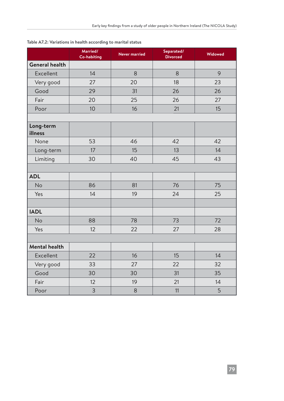|                       | Married/<br><b>Co-habiting</b> | <b>Never married</b> | Separated/<br><b>Divorced</b> | Widowed |
|-----------------------|--------------------------------|----------------------|-------------------------------|---------|
| <b>General health</b> |                                |                      |                               |         |
| Excellent             | 14                             | 8                    | 8                             | 9       |
| Very good             | 27                             | 20                   | 18                            | 23      |
| Good                  | 29                             | 31                   | 26                            | 26      |
| Fair                  | 20                             | 25                   | 26                            | 27      |
| Poor                  | 10                             | 16                   | 21                            | 15      |
|                       |                                |                      |                               |         |
| Long-term<br>illness  |                                |                      |                               |         |
| None                  | 53                             | 46                   | 42                            | 42      |
| Long-term             | 17                             | 15                   | 13                            | 14      |
| Limiting              | 30                             | 40                   | 45                            | 43      |
|                       |                                |                      |                               |         |
| <b>ADL</b>            |                                |                      |                               |         |
| <b>No</b>             | 86                             | 81                   | 76                            | 75      |
| Yes                   | 14                             | 19                   | 24                            | 25      |
|                       |                                |                      |                               |         |
| <b>IADL</b>           |                                |                      |                               |         |
| <b>No</b>             | 88                             | 78                   | 73                            | 72      |
| Yes                   | 12                             | 22                   | 27                            | 28      |
|                       |                                |                      |                               |         |
| <b>Mental health</b>  |                                |                      |                               |         |
| Excellent             | 22                             | 16                   | 15                            | 14      |
| Very good             | 33                             | 27                   | 22                            | 32      |
| Good                  | 30                             | 30                   | 31                            | 35      |
| Fair                  | 12                             | 19                   | 21                            | 14      |
| Poor                  | 3                              | 8                    | 11                            | 5       |

#### **Table A7.2: Variations in health according to marital status**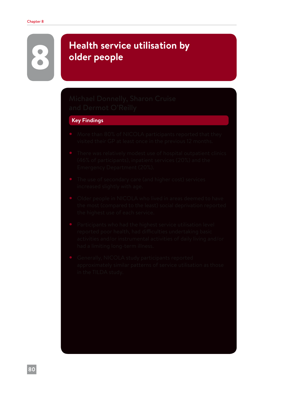# 8 **Health service utilisation by older people**

#### **Key Findings**

- 
- 
- 
- 
- 
-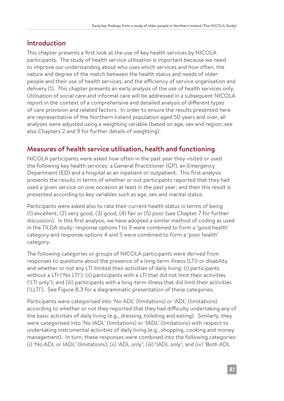# Introduction

This chapter presents a first look at the use of key health services by NICOLA participants. The study of health service utilisation is important because we need to improve our understanding about who uses which services and how often, the nature and degree of the match between the health status and needs of older people and their use of health services, and the efficiency of service organisation and delivery (1). This chapter presents an early analysis of the use of health services only. Utilisation of social care and informal care will be addressed in a subsequent NICOLA report in the context of a comprehensive and detailed analysis of different types of care provision and related factors. In order to ensure the results presented here are representative of the Northern Ireland population aged 50 years and over, all analyses were adjusted using a weighting variable (based on age, sex and region; see also Chapters 2 and 9 for further details of weighting).

# Measures of health service utilisation, health and functioning

NICOLA participants were asked how often in the past year they visited or used the following key health services: a General Practitioner (GP), an Emergency Department (ED) and a hospital as an inpatient or outpatient. This first analysis presents the results in terms of whether or not participants reported that they had used a given service on one occasion at least in the past year; and then this result is presented according to key variables such as age, sex and marital status.

Participants were asked also to rate their current health status in terms of being (1) excellent, (2) very good, (3) good, (4) fair or (5) poor (see Chapter 7 for further discussion). In this first analysis, we have adopted a similar method of coding as used in the TILDA study: response options 1 to 3 were combined to form a 'good health' category and response options 4 and 5 were combined to form a 'poor health' category.

The following categories or groups of NICOLA participants were derived from responses to questions about the presence of a long-term illness (LTI) or disability and whether or not any LTI limited their activities of daily living: (i) participants without a LTI ('No LTI'); (ii) participants with a LTI that did not limit their activities ('LTI only'); and (iii) participants with a long-term illness that did limit their activities ('LLTI'). See Figure 8.3 for a diagrammatic presentation of these categories.

Participants were categorised into 'No ADL' (limitations) or 'ADL' (limitations) according to whether or not they reported that they had difficulty undertaking any of the basic activities of daily living (e.g., dressing, toileting and eating). Similarly, they were categorised into 'No IADL' (limitations) or 'IADL' (limitations) with respect to undertaking instrumental activities of daily living (e.g., shopping, cooking and money management). In turn, these responses were combined into the following categories: (i) 'No ADL or IADL' (limitations); (ii) 'ADL only'; (iii) 'IADL only'; and (iv) 'Both ADL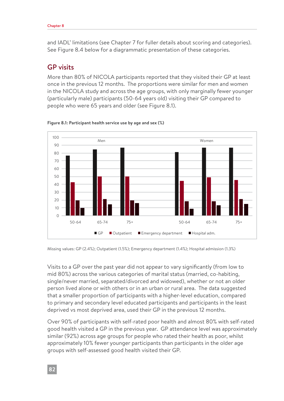and IADL' limitations (see Chapter 7 for fuller details about scoring and categories). See Figure 8.4 below for a diagrammatic presentation of these categories.

## GP visits

More than 80% of NICOLA participants reported that they visited their GP at least once in the previous 12 months. The proportions were similar for men and women in the NICOLA study and across the age groups, with only marginally fewer younger (particularly male) participants (50-64 years old) visiting their GP compared to people who were 65 years and older (see Figure 8.1).





Missing values: GP (2.4%); Outpatient (1.5%); Emergency department (1.4%); Hospital admission (1.3%)

Visits to a GP over the past year did not appear to vary significantly (from low to mid 80%) across the various categories of marital status (married, co-habiting, single/never married, separated/divorced and widowed), whether or not an older person lived alone or with others or in an urban or rural area. The data suggested that a smaller proportion of participants with a higher-level education, compared to primary and secondary level educated participants and participants in the least deprived vs most deprived area, used their GP in the previous 12 months.

Over 90% of participants with self-rated poor health and almost 80% with self-rated good health visited a GP in the previous year. GP attendance level was approximately similar (92%) across age groups for people who rated their health as poor, whilst approximately 10% fewer younger participants than participants in the older age groups with self-assessed good health visited their GP.

**82**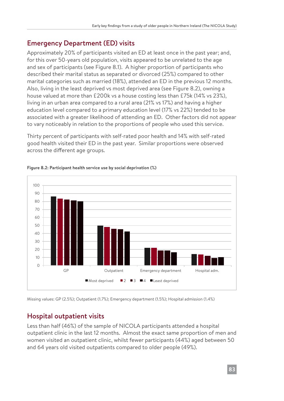# Emergency Department (ED) visits

Approximately 20% of participants visited an ED at least once in the past year; and, for this over 50-years old population, visits appeared to be unrelated to the age and sex of participants (see Figure 8.1). A higher proportion of participants who described their marital status as separated or divorced (25%) compared to other marital categories such as married (18%), attended an ED in the previous 12 months. Also, living in the least deprived vs most deprived area (see Figure 8.2), owning a house valued at more than £200k vs a house costing less than £75k (14% vs 23%), living in an urban area compared to a rural area (21% vs 17%) and having a higher education level compared to a primary education level (17% vs 22%) tended to be associated with a greater likelihood of attending an ED. Other factors did not appear to vary noticeably in relation to the proportions of people who used this service.

Thirty percent of participants with self-rated poor health and 14% with self-rated good health visited their ED in the past year. Similar proportions were observed across the different age groups.



#### **Figure 8.2: Participant health service use by social deprivation (%)**

Missing values: GP (2.5%); Outpatient (1.7%); Emergency department (1.5%); Hospital admission (1.4%)

# Hospital outpatient visits

Less than half (46%) of the sample of NICOLA participants attended a hospital outpatient clinic in the last 12 months. Almost the exact same proportion of men and women visited an outpatient clinic, whilst fewer participants (44%) aged between 50 and 64 years old visited outpatients compared to older people (49%).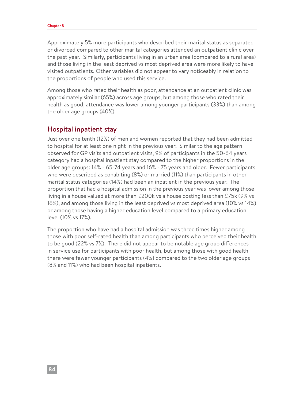Approximately 5% more participants who described their marital status as separated or divorced compared to other marital categories attended an outpatient clinic over the past year. Similarly, participants living in an urban area (compared to a rural area) and those living in the least deprived vs most deprived area were more likely to have visited outpatients. Other variables did not appear to vary noticeably in relation to the proportions of people who used this service.

Among those who rated their health as poor, attendance at an outpatient clinic was approximately similar (65%) across age groups, but among those who rated their health as good, attendance was lower among younger participants (33%) than among the older age groups (40%).

#### Hospital inpatient stay

Just over one tenth (12%) of men and women reported that they had been admitted to hospital for at least one night in the previous year. Similar to the age pattern observed for GP visits and outpatient visits, 9% of participants in the 50-64 years category had a hospital inpatient stay compared to the higher proportions in the older age groups: 14% - 65-74 years and 16% - 75 years and older. Fewer participants who were described as cohabiting (8%) or married (11%) than participants in other marital status categories (14%) had been an inpatient in the previous year. The proportion that had a hospital admission in the previous year was lower among those living in a house valued at more than £200k vs a house costing less than £75k (9% vs 16%), and among those living in the least deprived vs most deprived area (10% vs 14%) or among those having a higher education level compared to a primary education level (10% vs 17%).

The proportion who have had a hospital admission was three times higher among those with poor self-rated health than among participants who perceived their health to be good (22% vs 7%). There did not appear to be notable age group differences in service use for participants with poor health, but among those with good health there were fewer younger participants (4%) compared to the two older age groups (8% and 11%) who had been hospital inpatients.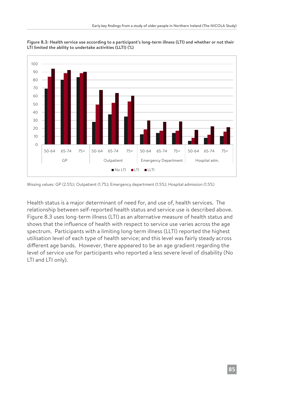

**Figure 8.3: Health service use according to a participant's long-term illness (LTI) and whether or not their LTI limited the ability to undertake activities (LLTI) (%)**

Missing values: GP (2.5%); Outpatient (1.7%); Emergency department (1.5%); Hospital admission (1.5%)

Health status is a major determinant of need for, and use of, health services. The relationship between self-reported health status and service use is described above. Figure 8.3 uses long-term illness (LTI) as an alternative measure of health status and shows that the influence of health with respect to service use varies across the age spectrum. Participants with a limiting long-term illness (LLTI) reported the highest utilisation level of each type of health service; and this level was fairly steady across different age bands. However, there appeared to be an age gradient regarding the level of service use for participants who reported a less severe level of disability (No LTI and LTI only).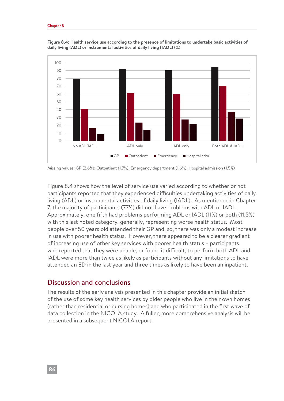

**Figure 8.4: Health service use according to the presence of limitations to undertake basic activities of daily living (ADL) or instrumental activities of daily living (IADL) (%)**

Missing values: GP (2.6%); Outpatient (1.7%); Emergency department (1.6%); Hospital admission (1.5%)

Figure 8.4 shows how the level of service use varied according to whether or not participants reported that they experienced difficulties undertaking activities of daily living (ADL) or instrumental activities of daily living (IADL). As mentioned in Chapter 7, the majority of participants (77%) did not have problems with ADL or IADL. Approximately, one fifth had problems performing ADL or IADL (11%) or both (11.5%) with this last noted category, generally, representing worse health status. Most people over 50 years old attended their GP and, so, there was only a modest increase in use with poorer health status. However, there appeared to be a clearer gradient of increasing use of other key services with poorer health status – participants who reported that they were unable, or found it difficult, to perform both ADL and IADL were more than twice as likely as participants without any limitations to have attended an ED in the last year and three times as likely to have been an inpatient.

#### Discussion and conclusions

The results of the early analysis presented in this chapter provide an initial sketch of the use of some key health services by older people who live in their own homes (rather than residential or nursing homes) and who participated in the first wave of data collection in the NICOLA study. A fuller, more comprehensive analysis will be presented in a subsequent NICOLA report.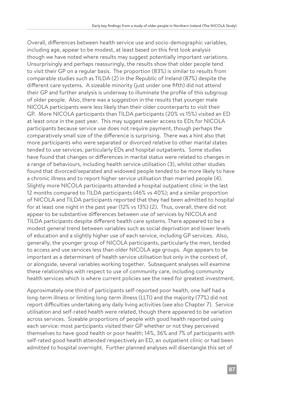Overall, differences between health service use and socio-demographic variables, including age, appear to be modest, at least based on this first look analysis though we have noted where results may suggest potentially important variations. Unsurprisingly and perhaps reassuringly, the results show that older people tend to visit their GP on a regular basis. The proportion (83%) is similar to results from comparable studies such as TILDA (2) in the Republic of Ireland (87%) despite the different care systems. A sizeable minority (just under one fifth) did not attend their GP and further analysis is underway to illuminate the profile of this subgroup of older people. Also, there was a suggestion in the results that younger male NICOLA participants were less likely than their older counterparts to visit their GP. More NICOLA participants than TILDA participants (20% vs 15%) visited an ED at least once in the past year. This may suggest easier access to EDs for NICOLA participants because service use does not require payment, though perhaps the comparatively small size of the difference is surprising. There was a hint also that more participants who were separated or divorced relative to other marital states tended to use services, particularly EDs and hospital outpatients. Some studies have found that changes or differences in marital status were related to changes in a range of behaviours, including health service utilisation (3), whilst other studies found that divorced/separated and widowed people tended to be more likely to have a chronic illness and to report higher service utilisation than married people (4). Slightly more NICOLA participants attended a hospital outpatient clinic in the last 12 months compared to TILDA participants (46% vs 40%); and a similar proportion of NICOLA and TILDA participants reported that they had been admitted to hospital for at least one night in the past year (12% vs 13%) (2). Thus, overall, there did not appear to be substantive differences between use of services by NICOLA and TILDA participants despite different health care systems. There appeared to be a modest general trend between variables such as social deprivation and lower levels of education and a slightly higher use of each service, including GP services. Also, generally, the younger group of NICOLA participants, particularly the men, tended to access and use services less than older NICOLA age groups. Age appears to be important as a determinant of health service utilisation but only in the context of, or alongside, several variables working together. Subsequent analyses will examine these relationships with respect to use of community care, including community health services which is where current policies see the need for greatest investment.

Approximately one third of participants self-reported poor health, one half had a long-term illness or limiting long-term illness (LLTI) and the majority (77%) did not report difficulties undertaking any daily living activities (see also Chapter 7). Service utilisation and self-rated health were related, though there appeared to be variation across services. Sizeable proportions of people with good health reported using each service: most participants visited their GP whether or not they perceived themselves to have good health or poor health; 14%, 36% and 7% of participants with self-rated good health attended respectively an ED, an outpatient clinic or had been admitted to hospital overnight. Further planned analyses will disentangle this set of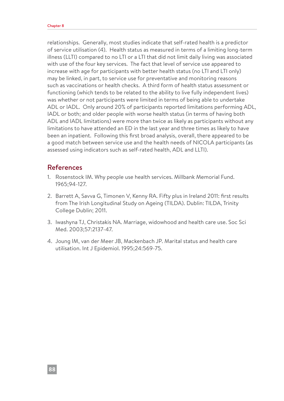relationships. Generally, most studies indicate that self-rated health is a predictor of service utilisation (4). Health status as measured in terms of a limiting long-term illness (LLTI) compared to no LTI or a LTI that did not limit daily living was associated with use of the four key services. The fact that level of service use appeared to increase with age for participants with better health status (no LTI and LTI only) may be linked, in part, to service use for preventative and monitoring reasons such as vaccinations or health checks. A third form of health status assessment or functioning (which tends to be related to the ability to live fully independent lives) was whether or not participants were limited in terms of being able to undertake ADL or IADL. Only around 20% of participants reported limitations performing ADL, IADL or both; and older people with worse health status (in terms of having both ADL and IADL limitations) were more than twice as likely as participants without any limitations to have attended an ED in the last year and three times as likely to have been an inpatient. Following this first broad analysis, overall, there appeared to be a good match between service use and the health needs of NICOLA participants (as assessed using indicators such as self-rated health, ADL and LLTI).

### References

- 1. Rosenstock IM. Why people use health services. Millbank Memorial Fund. 1965;94-127.
- 2. Barrett A, Savva G, Timonen V, Kenny RA. Fifty plus in Ireland 2011: first results from The Irish Longitudinal Study on Ageing (TILDA). Dublin: TILDA, Trinity College Dublin; 2011.
- 3. Iwashyna TJ, Christakis NA. Marriage, widowhood and health care use. Soc Sci Med. 2003;57:2137-47.
- 4. Joung IM, van der Meer JB, Mackenbach JP. Marital status and health care utilisation. Int J Epidemiol. 1995;24:569-75.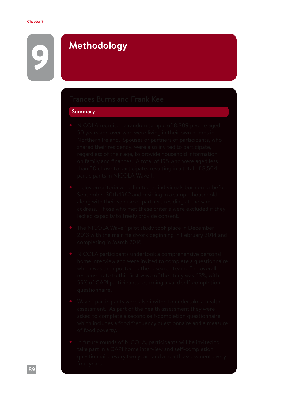# 9 **Methodology**

#### **Summary**

- 
- 
- 
- 
- 
-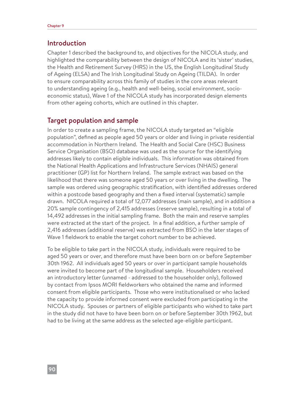#### Introduction

Chapter 1 described the background to, and objectives for the NICOLA study, and highlighted the comparability between the design of NICOLA and its 'sister' studies, the Health and Retirement Survey (HRS) in the US, the English Longitudinal Study of Ageing (ELSA) and The Irish Longitudinal Study on Ageing (TILDA). In order to ensure comparability across this family of studies in the core areas relevant to understanding ageing (e.g., health and well-being, social environment, socioeconomic status), Wave 1 of the NICOLA study has incorporated design elements from other ageing cohorts, which are outlined in this chapter.

#### Target population and sample

In order to create a sampling frame, the NICOLA study targeted an "eligible population", defined as people aged 50 years or older and living in private residential accommodation in Northern Ireland. The Health and Social Care (HSC) Business Service Organisation (BSO) database was used as the source for the identifying addresses likely to contain eligible individuals. This information was obtained from the National Health Applications and Infrastructure Services (NHAIS) general practitioner (GP) list for Northern Ireland. The sample extract was based on the likelihood that there was someone aged 50 years or over living in the dwelling. The sample was ordered using geographic stratification, with identified addresses ordered within a postcode based geography and then a fixed interval (systematic) sample drawn. NICOLA required a total of 12,077 addresses (main sample), and in addition a 20% sample contingency of 2,415 addresses (reserve sample), resulting in a total of 14,492 addresses in the initial sampling frame. Both the main and reserve samples were extracted at the start of the project. In a final addition, a further sample of 2,416 addresses (additional reserve) was extracted from BSO in the later stages of Wave 1 fieldwork to enable the target cohort number to be achieved.

To be eligible to take part in the NICOLA study, individuals were required to be aged 50 years or over, and therefore must have been born on or before September 30th 1962. All individuals aged 50 years or over in participant sample households were invited to become part of the longitudinal sample. Householders received an introductory letter (unnamed - addressed to the householder only), followed by contact from Ipsos MORI fieldworkers who obtained the name and informed consent from eligible participants. Those who were institutionalised or who lacked the capacity to provide informed consent were excluded from participating in the NICOLA study. Spouses or partners of eligible participants who wished to take part in the study did not have to have been born on or before September 30th 1962, but had to be living at the same address as the selected age-eligible participant.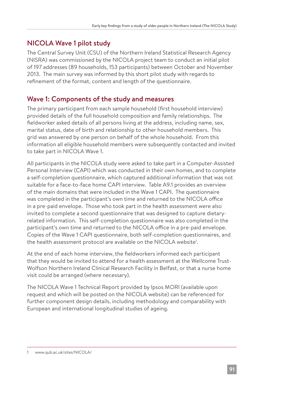# NICOLA Wave 1 pilot study

The Central Survey Unit (CSU) of the Northern Ireland Statistical Research Agency (NISRA) was commissioned by the NICOLA project team to conduct an initial pilot of 197 addresses (89 households, 153 participants) between October and November 2013. The main survey was informed by this short pilot study with regards to refinement of the format, content and length of the questionnaire.

# Wave 1: Components of the study and measures

The primary participant from each sample household (first household interview) provided details of the full household composition and family relationships. The fieldworker asked details of all persons living at the address, including name, sex, marital status, date of birth and relationship to other household members. This grid was answered by one person on behalf of the whole household. From this information all eligible household members were subsequently contacted and invited to take part in NICOLA Wave 1.

All participants in the NICOLA study were asked to take part in a Computer-Assisted Personal Interview (CAPI) which was conducted in their own homes, and to complete a self-completion questionnaire, which captured additional information that was not suitable for a face-to-face home CAPI interview. Table A9.1 provides an overview of the main domains that were included in the Wave 1 CAPI. The questionnaire was completed in the participant's own time and returned to the NICOLA office in a pre-paid envelope. Those who took part in the health assessment were also invited to complete a second questionnaire that was designed to capture dietaryrelated information. This self-completion questionnaire was also completed in the participant's own time and returned to the NICOLA office in a pre-paid envelope. Copies of the Wave 1 CAPI questionnaire, both self-completion questionnaires, and the health assessment protocol are available on the NICOLA website<sup>1</sup>.

At the end of each home interview, the fieldworkers informed each participant that they would be invited to attend for a health assessment at the Wellcome Trust-Wolfson Northern Ireland Clinical Research Facility in Belfast, or that a nurse home visit could be arranged (where necessary).

The NICOLA Wave 1 Technical Report provided by Ipsos MORI (available upon request and which will be posted on the NICOLA website) can be referenced for further component design details, including methodology and comparability with European and international longitudinal studies of ageing.

www.qub.ac.uk/sites/NICOLA/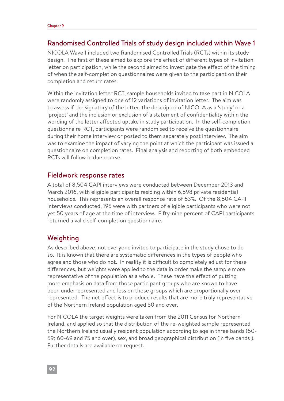#### Randomised Controlled Trials of study design included within Wave 1

NICOLA Wave 1 included two Randomised Controlled Trials (RCTs) within its study design. The first of these aimed to explore the effect of different types of invitation letter on participation, while the second aimed to investigate the effect of the timing of when the self-completion questionnaires were given to the participant on their completion and return rates.

Within the invitation letter RCT, sample households invited to take part in NICOLA were randomly assigned to one of 12 variations of invitation letter. The aim was to assess if the signatory of the letter, the descriptor of NICOLA as a 'study' or a 'project' and the inclusion or exclusion of a statement of confidentiality within the wording of the letter affected uptake in study participation. In the self-completion questionnaire RCT, participants were randomised to receive the questionnaire during their home interview or posted to them separately post interview. The aim was to examine the impact of varying the point at which the participant was issued a questionnaire on completion rates. Final analysis and reporting of both embedded RCTs will follow in due course.

#### Fieldwork response rates

A total of 8,504 CAPI interviews were conducted between December 2013 and March 2016, with eligible participants residing within 6,598 private residential households. This represents an overall response rate of 63%. Of the 8,504 CAPI interviews conducted, 195 were with partners of eligible participants who were not yet 50 years of age at the time of interview. Fifty-nine percent of CAPI participants returned a valid self-completion questionnaire.

#### Weighting

As described above, not everyone invited to participate in the study chose to do so. It is known that there are systematic differences in the types of people who agree and those who do not. In reality it is difficult to completely adjust for these differences, but weights were applied to the data in order make the sample more representative of the population as a whole. These have the effect of putting more emphasis on data from those participant groups who are known to have been underrepresented and less on those groups which are proportionally over represented. The net effect is to produce results that are more truly representative of the Northern Ireland population aged 50 and over.

For NICOLA the target weights were taken from the 2011 Census for Northern Ireland, and applied so that the distribution of the re-weighted sample represented the Northern Ireland usually resident population according to age in three bands (50- 59; 60-69 and 75 and over), sex, and broad geographical distribution (in five bands ). Further details are available on request.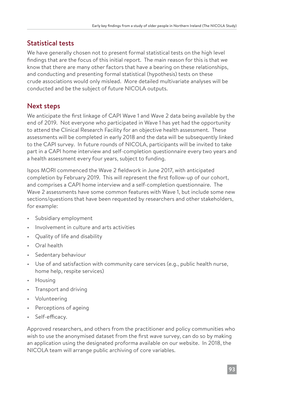# Statistical tests

We have generally chosen not to present formal statistical tests on the high level findings that are the focus of this initial report. The main reason for this is that we know that there are many other factors that have a bearing on these relationships, and conducting and presenting formal statistical (hypothesis) tests on these crude associations would only mislead. More detailed multivariate analyses will be conducted and be the subject of future NICOLA outputs.

# Next steps

We anticipate the first linkage of CAPI Wave 1 and Wave 2 data being available by the end of 2019. Not everyone who participated in Wave 1 has yet had the opportunity to attend the Clinical Research Facility for an objective health assessment. These assessments will be completed in early 2018 and the data will be subsequently linked to the CAPI survey. In future rounds of NICOLA, participants will be invited to take part in a CAPI home interview and self-completion questionnaire every two years and a health assessment every four years, subject to funding.

Ispos MORI commenced the Wave 2 fieldwork in June 2017, with anticipated completion by February 2019. This will represent the first follow-up of our cohort, and comprises a CAPI home interview and a self-completion questionnaire. The Wave 2 assessments have some common features with Wave 1, but include some new sections/questions that have been requested by researchers and other stakeholders, for example:

- Subsidiary employment
- Involvement in culture and arts activities
- Quality of life and disability
- Oral health
- Sedentary behaviour
- Use of and satisfaction with community care services (e.g., public health nurse, home help, respite services)
- Housing
- Transport and driving
- Volunteering
- Perceptions of ageing
- Self-efficacy.

Approved researchers, and others from the practitioner and policy communities who wish to use the anonymised dataset from the first wave survey, can do so by making an application using the designated proforma available on our website. In 2018, the NICOLA team will arrange public archiving of core variables.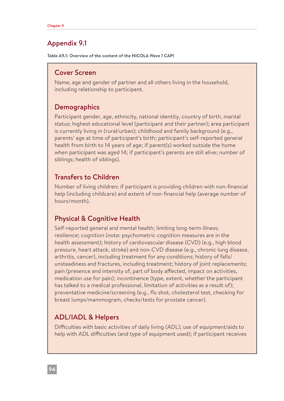# Appendix 9.1

**Table A9.1: Overview of the content of the NICOLA Wave 1 CAPI**

### Cover Screen

Name, age and gender of partner and all others living in the household, including relationship to participant.

# **Demographics**

Participant gender, age, ethnicity, national identity, country of birth, marital status; highest educational level (participant and their partner); area participant is currently living in (rural/urban); childhood and family background (e.g., parents' age at time of participant's birth; participant's self-reported general health from birth to 14 years of age; if parent(s) worked outside the home when participant was aged 14; if participant's parents are still alive; number of siblings; health of siblings).

# Transfers to Children

Number of living children; if participant is providing children with non-financial help (including childcare) and extent of non-financial help (average number of hours/month).

# Physical & Cognitive Health

Self-reported general and mental health; limiting long-term illness; resilience; cognition (note: psychometric cognition measures are in the health assessment); history of cardiovascular disease (CVD) (e.g., high blood pressure, heart attack, stroke) and non-CVD disease (e.g., chronic lung disease, arthritis, cancer), including treatment for any conditions; history of falls/ unsteadiness and fractures, including treatment; history of joint replacements; pain (presence and intensity of, part of body affected, impact on activities, medication use for pain); incontinence (type, extent, whether the participant has talked to a medical professional, limitation of activities as a result of); preventative medicine/screening (e.g., flu shot, cholesterol test, checking for breast lumps/mammogram, checks/tests for prostate cancer).

# ADL/IADL & Helpers

Difficulties with basic activities of daily living (ADL); use of equipment/aids to help with ADL difficulties (and type of equipment used); if participant receives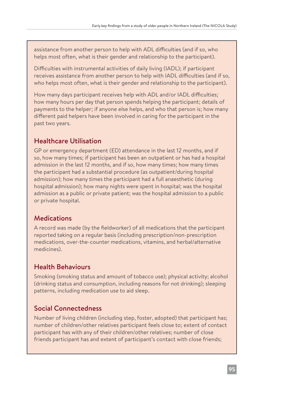assistance from another person to help with ADL difficulties (and if so, who helps most often, what is their gender and relationship to the participant).

Difficulties with instrumental activities of daily living (IADL); if participant receives assistance from another person to help with IADL difficulties (and if so, who helps most often, what is their gender and relationship to the participant).

How many days participant receives help with ADL and/or IADL difficulties; how many hours per day that person spends helping the participant; details of payments to the helper; if anyone else helps, and who that person is; how many different paid helpers have been involved in caring for the participant in the past two years.

# Healthcare Utilisation

GP or emergency department (ED) attendance in the last 12 months, and if so, how many times; if participant has been an outpatient or has had a hospital admission in the last 12 months, and if so, how many times; how many times the participant had a substantial procedure (as outpatient/during hospital admission); how many times the participant had a full anaesthetic (during hospital admission); how many nights were spent in hospital; was the hospital admission as a public or private patient; was the hospital admission to a public or private hospital.

# Medications

A record was made (by the fieldworker) of all medications that the participant reported taking on a regular basis (including prescription/non-prescription medications, over-the-counter medications, vitamins, and herbal/alternative medicines).

# Health Behaviours

Smoking (smoking status and amount of tobacco use); physical activity; alcohol (drinking status and consumption, including reasons for not drinking); sleeping patterns, including medication use to aid sleep.

# Social Connectedness

Number of living children (including step, foster, adopted) that participant has; number of children/other relatives participant feels close to; extent of contact participant has with any of their children/other relatives; number of close friends participant has and extent of participant's contact with close friends;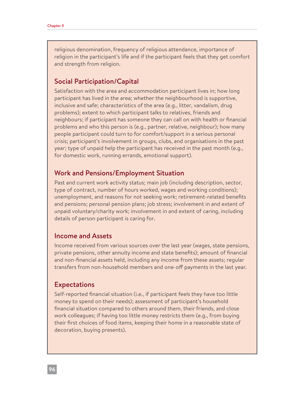religious denomination, frequency of religious attendance, importance of religion in the participant's life and if the participant feels that they get comfort and strength from religion.

### Social Participation/Capital

Satisfaction with the area and accommodation participant lives in; how long participant has lived in the area; whether the neighbourhood is supportive, inclusive and safe; characteristics of the area (e.g., litter, vandalism, drug problems); extent to which participant talks to relatives, friends and neighbours; if participant has someone they can call on with health or financial problems and who this person is (e.g., partner, relative, neighbour); how many people participant could turn to for comfort/support in a serious personal crisis; participant's involvement in groups, clubs, and organisations in the past year; type of unpaid help the participant has received in the past month (e.g., for domestic work, running errands, emotional support).

### Work and Pensions/Employment Situation

Past and current work activity status; main job (including description, sector, type of contract, number of hours worked, wages and working conditions); unemployment, and reasons for not seeking work; retirement-related benefits and pensions; personal pension plans; job stress; involvement in and extent of unpaid voluntary/charity work; involvement in and extent of caring, including details of person participant is caring for.

#### Income and Assets

Income received from various sources over the last year (wages, state pensions, private pensions, other annuity income and state benefits); amount of financial and non-financial assets held, including any income from these assets; regular transfers from non-household members and one-off payments in the last year.

#### Expectations

Self-reported financial situation (i.e., if participant feels they have too little money to spend on their needs); assessment of participant's household financial situation compared to others around them, their friends, and close work colleagues; if having too little money restricts them (e.g., from buying their first choices of food items, keeping their home in a reasonable state of decoration, buying presents).